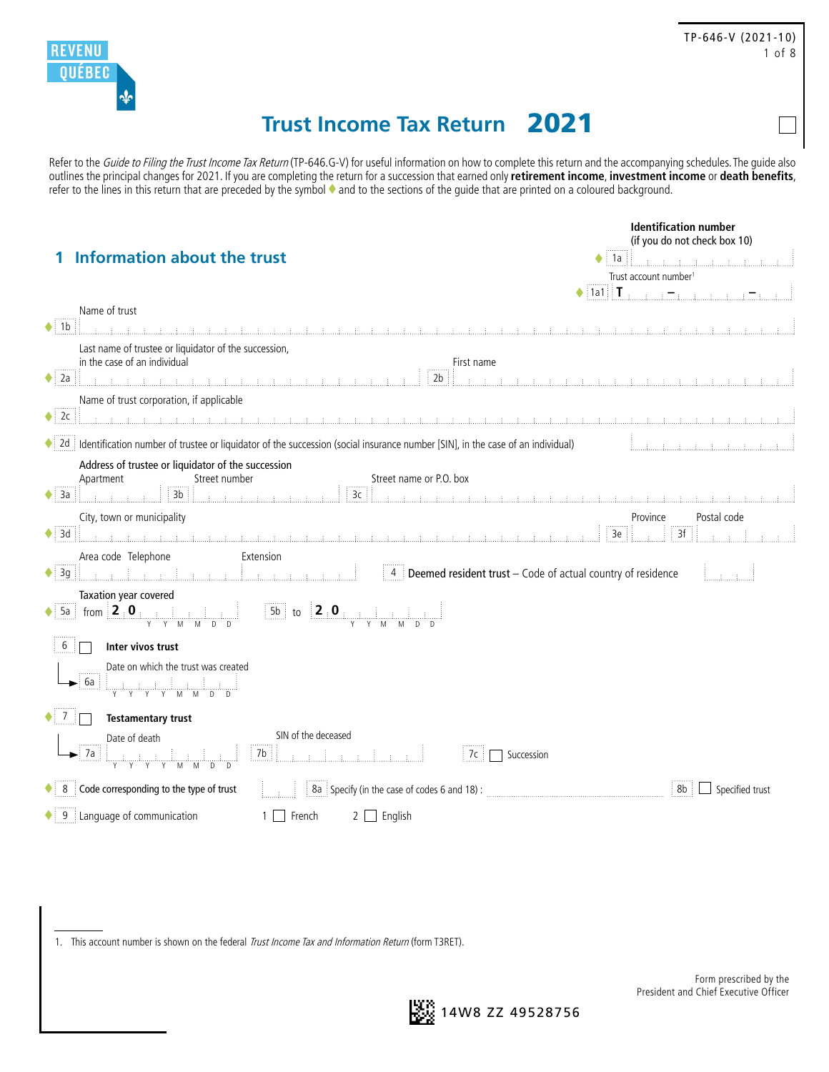

# **Trust Income Tax Return** 2021

Refer to the Guide to Filing the Trust Income Tax Return (TP-646.G-V) for useful information on how to complete this return and the accompanying schedules. The guide also outlines the principal changes for 2021. If you are completing the return for a succession that earned only **retirement income**, **investment income** or **death benefits**, refer to the lines in this return that are preceded by the symbol and to the sections of the guide that are printed on a coloured background.

|                                                                                                                                                                                                                                                                                                                                                                                                                                                                   | <b>Identification number</b><br>(if you do not check box 10)                                                                                                                                                                                                                                                                                                                                                                                                                                                |
|-------------------------------------------------------------------------------------------------------------------------------------------------------------------------------------------------------------------------------------------------------------------------------------------------------------------------------------------------------------------------------------------------------------------------------------------------------------------|-------------------------------------------------------------------------------------------------------------------------------------------------------------------------------------------------------------------------------------------------------------------------------------------------------------------------------------------------------------------------------------------------------------------------------------------------------------------------------------------------------------|
| <b>Information about the trust</b>                                                                                                                                                                                                                                                                                                                                                                                                                                | 1a<br>$\mathcal{A}=\mathcal{A}$ and an introduced and $\mathcal{A}$                                                                                                                                                                                                                                                                                                                                                                                                                                         |
|                                                                                                                                                                                                                                                                                                                                                                                                                                                                   | Trust account number <sup>1</sup>                                                                                                                                                                                                                                                                                                                                                                                                                                                                           |
|                                                                                                                                                                                                                                                                                                                                                                                                                                                                   | $\blacklozenge$ [1a1] $\vert$ $\mathbf{T}_{\text{max}}$ and $\frac{1}{2}$ and $\frac{1}{2}$ and $\frac{1}{2}$ and $\frac{1}{2}$ and $\frac{1}{2}$ and $\frac{1}{2}$ and $\frac{1}{2}$ and $\frac{1}{2}$ and $\frac{1}{2}$ and $\frac{1}{2}$ and $\frac{1}{2}$ and $\frac{1}{2}$ and $\frac{1}{2}$ and $\frac$                                                                                                                                                                                               |
| Name of trust                                                                                                                                                                                                                                                                                                                                                                                                                                                     |                                                                                                                                                                                                                                                                                                                                                                                                                                                                                                             |
| $\blacklozenge$ 1b<br>mining matematical matematical matematical matematical matematical matematical matematical matematical matematical matematical                                                                                                                                                                                                                                                                                                              |                                                                                                                                                                                                                                                                                                                                                                                                                                                                                                             |
| Last name of trustee or liquidator of the succession,<br>in the case of an individual<br>First name                                                                                                                                                                                                                                                                                                                                                               |                                                                                                                                                                                                                                                                                                                                                                                                                                                                                                             |
| $\bullet$ 2a<br>2 <sub>b</sub>                                                                                                                                                                                                                                                                                                                                                                                                                                    | $\begin{minipage}[c]{0.9\textwidth} \centering \begin{tabular}[c]{@{}l@{}} \hline \textbf{1} & \textbf{1} & \textbf{1} & \textbf{1} & \textbf{1} & \textbf{1} & \textbf{1} & \textbf{1} & \textbf{1} & \textbf{1} & \textbf{1} & \textbf{1} & \textbf{1} & \textbf{1} & \textbf{1} & \textbf{1} & \textbf{1} & \textbf{1} & \textbf{1} & \textbf{1} & \textbf{1} & \textbf{1} & \textbf{1} & \textbf{1} & \textbf{1} & \textbf{1} & \text$                                                                  |
| Name of trust corporation, if applicable                                                                                                                                                                                                                                                                                                                                                                                                                          |                                                                                                                                                                                                                                                                                                                                                                                                                                                                                                             |
| $\bullet$ 2c<br>,我们还能够把我们的人的人都会把我们的人都会把我们的人都会把我们的人都会把我们的人都会把我们的人都会把我们的人都会把我们的人都会把我们的人都会把我们的人都会把我们的人都会把                                                                                                                                                                                                                                                                                                                                                            |                                                                                                                                                                                                                                                                                                                                                                                                                                                                                                             |
| ♦ 2d   Identification number of trustee or liquidator of the succession (social insurance number [SIN], in the case of an individual)                                                                                                                                                                                                                                                                                                                             |                                                                                                                                                                                                                                                                                                                                                                                                                                                                                                             |
| Address of trustee or liquidator of the succession<br>Street number<br>Street name or P.O. box<br>Apartment<br>3 <sub>c</sub><br>3a<br>۰<br>$ 3b $ $\frac{1}{2}$ $\frac{1}{2}$ $\frac{1}{2}$ $\frac{1}{2}$ $\frac{1}{2}$ $\frac{1}{2}$ $\frac{1}{2}$ $\frac{1}{2}$ $\frac{1}{2}$ $\frac{1}{2}$ $\frac{1}{2}$ $\frac{1}{2}$ $\frac{1}{2}$ $\frac{1}{2}$ $\frac{1}{2}$ $\frac{1}{2}$ $\frac{1}{2}$ $\frac{1}{2}$ $\frac{1}{2}$ $\frac{1}{2}$ $\frac{1}{2}$ $\frac{$ | $\mathcal{A} = \{ \mathcal{A} \mid \mathcal{A} \in \mathcal{A} \mid \text{if } \mathcal{A} \text{ and } \mathcal{A} \text{ and } \mathcal{A} \text{ and } \mathcal{A} \text{ and } \mathcal{A} \text{ and } \mathcal{A} \text{ and } \mathcal{A} \text{ and } \mathcal{A} \text{ and } \mathcal{A} \text{ and } \mathcal{A} \text{ and } \mathcal{A} \text{ and } \mathcal{A} \text{ and } \mathcal{A} \text{ and } \mathcal{A} \text{ and } \mathcal{A} \text{ and } \mathcal{A} \text{ and } \mathcal{A}$ |
| City, town or municipality                                                                                                                                                                                                                                                                                                                                                                                                                                        | Postal code<br>Province                                                                                                                                                                                                                                                                                                                                                                                                                                                                                     |
| $\blacklozenge$ 3d<br>րում այլ երազմական հայտնությունների հայտնությունների հայտնությունների հայտնությունների հայտնությունների հայտնո<br>Այս այլ էր այլ էր այլ էր այլ էր այլ էր այլ էր այլ էր այլ էր այլ էր այլ էր այլ էր այլ էր այլ էր այլ էր այլ էր ա                                                                                                                                                                                                            | 3f<br>3e                                                                                                                                                                                                                                                                                                                                                                                                                                                                                                    |
| Extension<br>Area code Telephone<br>$\frac{1}{2}$ Peemed resident trust – Code of actual country of residence<br>$\bullet$ 3q                                                                                                                                                                                                                                                                                                                                     |                                                                                                                                                                                                                                                                                                                                                                                                                                                                                                             |
| Taxation year covered                                                                                                                                                                                                                                                                                                                                                                                                                                             |                                                                                                                                                                                                                                                                                                                                                                                                                                                                                                             |
|                                                                                                                                                                                                                                                                                                                                                                                                                                                                   |                                                                                                                                                                                                                                                                                                                                                                                                                                                                                                             |
| 6 <sup>1</sup><br>Inter vivos trust                                                                                                                                                                                                                                                                                                                                                                                                                               |                                                                                                                                                                                                                                                                                                                                                                                                                                                                                                             |
| Date on which the trust was created<br>6а<br>wiwiwiwimi.                                                                                                                                                                                                                                                                                                                                                                                                          |                                                                                                                                                                                                                                                                                                                                                                                                                                                                                                             |
| $\bullet$ 7<br><b>Testamentary trust</b>                                                                                                                                                                                                                                                                                                                                                                                                                          |                                                                                                                                                                                                                                                                                                                                                                                                                                                                                                             |
| SIN of the deceased<br>Date of death                                                                                                                                                                                                                                                                                                                                                                                                                              |                                                                                                                                                                                                                                                                                                                                                                                                                                                                                                             |
| 7b<br>: 7a<br>$7c$ $\Box$ Succession                                                                                                                                                                                                                                                                                                                                                                                                                              |                                                                                                                                                                                                                                                                                                                                                                                                                                                                                                             |
| $\bullet$ 8 Code corresponding to the type of trust                                                                                                                                                                                                                                                                                                                                                                                                               | 8b<br>$\Box$ Specified trust                                                                                                                                                                                                                                                                                                                                                                                                                                                                                |
| $\bullet$ 9 Language of communication<br>$1\Box$<br>French<br>English<br>$\mathbf{2}$                                                                                                                                                                                                                                                                                                                                                                             |                                                                                                                                                                                                                                                                                                                                                                                                                                                                                                             |

1. This account number is shown on the federal Trust Income Tax and Information Return (form T3RET).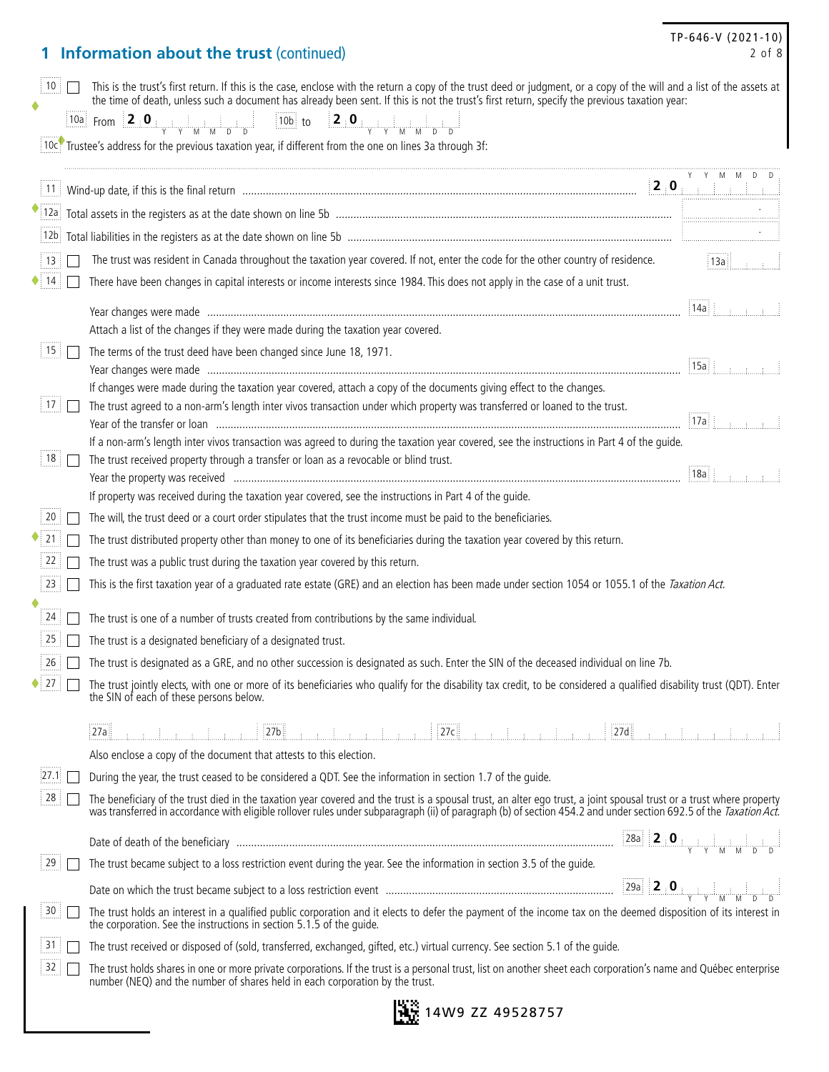## **1 Information about the trust** (continued)

|                         | $10$ $\Box$ | This is the trust's first return. If this is the case, enclose with the return a copy of the trust deed or judgment, or a copy of the will and a list of the assets at<br>the time of death, unless such a document has already been sent. If this is not the trust's first return, specify the previous taxation year:                   |                                                    |                                                                                                       |  |
|-------------------------|-------------|-------------------------------------------------------------------------------------------------------------------------------------------------------------------------------------------------------------------------------------------------------------------------------------------------------------------------------------------|----------------------------------------------------|-------------------------------------------------------------------------------------------------------|--|
|                         |             | $\boxed{10a}$ From $\boxed{2.0.$                                                                                                                                                                                                                                                                                                          |                                                    |                                                                                                       |  |
|                         |             | 10c. Trustee's address for the previous taxation year, if different from the one on lines 3a through 3f:                                                                                                                                                                                                                                  |                                                    |                                                                                                       |  |
|                         |             | $\boxed{11}$ Wind-up date, if this is the final return $\boxed{11}$ Wind-up date, if this is the final return $\boxed{2}$ . $\boxed{0}$                                                                                                                                                                                                   |                                                    |                                                                                                       |  |
|                         |             |                                                                                                                                                                                                                                                                                                                                           |                                                    |                                                                                                       |  |
|                         |             |                                                                                                                                                                                                                                                                                                                                           |                                                    |                                                                                                       |  |
| $\frac{1}{2}$ 13 $\Box$ |             | The trust was resident in Canada throughout the taxation year covered. If not, enter the code for the other country of residence.                                                                                                                                                                                                         |                                                    | $\overline{13a}$ $\overline{13a}$ $\overline{13a}$ $\overline{13a}$ $\overline{13a}$ $\overline{13a}$ |  |
| 14                      |             | There have been changes in capital interests or income interests since 1984. This does not apply in the case of a unit trust.                                                                                                                                                                                                             |                                                    |                                                                                                       |  |
|                         |             |                                                                                                                                                                                                                                                                                                                                           | $ 14a $ $\cdots$                                   |                                                                                                       |  |
|                         |             | Attach a list of the changes if they were made during the taxation year covered.                                                                                                                                                                                                                                                          |                                                    |                                                                                                       |  |
| 15                      |             | The terms of the trust deed have been changed since June 18, 1971.                                                                                                                                                                                                                                                                        |                                                    |                                                                                                       |  |
|                         |             |                                                                                                                                                                                                                                                                                                                                           | $ 15a  $ $\frac{1}{2}$ $\frac{1}{2}$ $\frac{1}{2}$ |                                                                                                       |  |
|                         |             | If changes were made during the taxation year covered, attach a copy of the documents giving effect to the changes.<br>The trust agreed to a non-arm's length inter vivos transaction under which property was transferred or loaned to the trust.                                                                                        |                                                    |                                                                                                       |  |
| 17                      |             |                                                                                                                                                                                                                                                                                                                                           | 17a                                                |                                                                                                       |  |
|                         |             | If a non-arm's length inter vivos transaction was agreed to during the taxation year covered, see the instructions in Part 4 of the quide.                                                                                                                                                                                                |                                                    |                                                                                                       |  |
| 18                      |             | The trust received property through a transfer or loan as a revocable or blind trust.                                                                                                                                                                                                                                                     | 18a :                                              |                                                                                                       |  |
|                         |             | If property was received during the taxation year covered, see the instructions in Part 4 of the guide.                                                                                                                                                                                                                                   |                                                    |                                                                                                       |  |
| 20                      |             | The will, the trust deed or a court order stipulates that the trust income must be paid to the beneficiaries.                                                                                                                                                                                                                             |                                                    |                                                                                                       |  |
| 21                      |             | The trust distributed property other than money to one of its beneficiaries during the taxation year covered by this return.                                                                                                                                                                                                              |                                                    |                                                                                                       |  |
| 22                      |             | The trust was a public trust during the taxation year covered by this return.                                                                                                                                                                                                                                                             |                                                    |                                                                                                       |  |
| 23                      |             | This is the first taxation year of a graduated rate estate (GRE) and an election has been made under section 1054 or 1055.1 of the Taxation Act.                                                                                                                                                                                          |                                                    |                                                                                                       |  |
|                         |             |                                                                                                                                                                                                                                                                                                                                           |                                                    |                                                                                                       |  |
| 24                      |             | The trust is one of a number of trusts created from contributions by the same individual.                                                                                                                                                                                                                                                 |                                                    |                                                                                                       |  |
| $\frac{1}{25}$          |             | The trust is a designated beneficiary of a designated trust.                                                                                                                                                                                                                                                                              |                                                    |                                                                                                       |  |
|                         | 26          | The trust is designated as a GRE, and no other succession is designated as such. Enter the SIN of the deceased individual on line 7b.                                                                                                                                                                                                     |                                                    |                                                                                                       |  |
|                         | $27$ $\Box$ | The trust jointly elects, with one or more of its beneficiaries who qualify for the disability tax credit, to be considered a qualified disability trust (QDT). Enter<br>the SIN of each of these persons below.                                                                                                                          |                                                    |                                                                                                       |  |
|                         |             | $\boxed{27a}$ , the set of $\boxed{27b}$ , the set of $\boxed{27c}$ , the set of $\boxed{27d}$ , the set of the set                                                                                                                                                                                                                       |                                                    |                                                                                                       |  |
|                         |             | Also enclose a copy of the document that attests to this election.                                                                                                                                                                                                                                                                        |                                                    |                                                                                                       |  |
| [27.1]                  |             | During the year, the trust ceased to be considered a QDT. See the information in section 1.7 of the quide.                                                                                                                                                                                                                                |                                                    |                                                                                                       |  |
| $\frac{1}{28}$          |             | The beneficiary of the trust died in the taxation year covered and the trust is a spousal trust, an alter ego trust, a joint spousal trust or a trust where property<br>was transferred in accordance with eligible rollover rules under subparagraph (ii) of paragraph (b) of section 454.2 and under section 692.5 of the Taxation Act. |                                                    |                                                                                                       |  |
|                         |             |                                                                                                                                                                                                                                                                                                                                           |                                                    |                                                                                                       |  |
| 29                      |             | The trust became subject to a loss restriction event during the year. See the information in section 3.5 of the quide.                                                                                                                                                                                                                    |                                                    |                                                                                                       |  |
|                         |             |                                                                                                                                                                                                                                                                                                                                           |                                                    |                                                                                                       |  |
| 30                      |             | The trust holds an interest in a qualified public corporation and it elects to defer the payment of the income tax on the deemed disposition of its interest in<br>the corporation. See the instructions in section 5.1.5 of the quide.                                                                                                   |                                                    |                                                                                                       |  |
| 31:                     |             | The trust received or disposed of (sold, transferred, exchanged, gifted, etc.) virtual currency. See section 5.1 of the quide.                                                                                                                                                                                                            |                                                    |                                                                                                       |  |
| 32 <sup>1</sup>         |             | The trust holds shares in one or more private corporations. If the trust is a personal trust, list on another sheet each corporation's name and Québec enterprise<br>number (NEQ) and the number of shares held in each corporation by the trust.                                                                                         |                                                    |                                                                                                       |  |

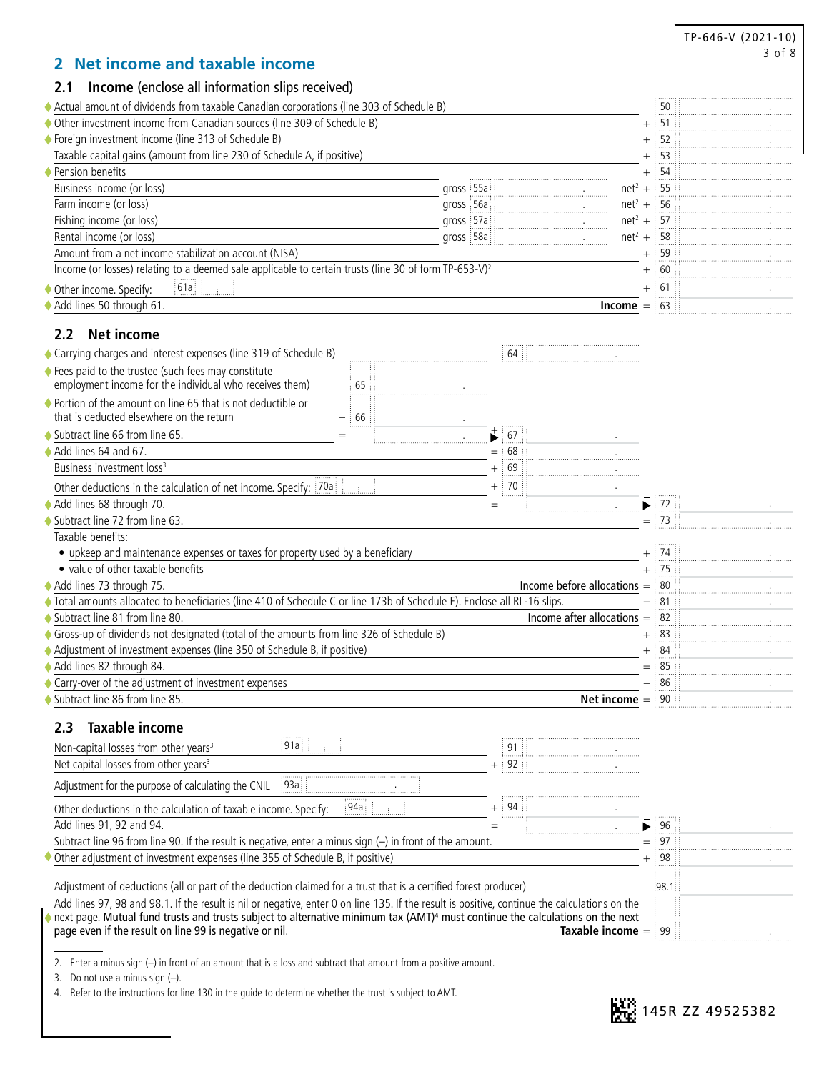|                                                                                                                                                                                                               |                             |                                                   | TP-646-V (2021-10)<br>3 of 8 |
|---------------------------------------------------------------------------------------------------------------------------------------------------------------------------------------------------------------|-----------------------------|---------------------------------------------------|------------------------------|
| Net income and taxable income<br>2                                                                                                                                                                            |                             |                                                   |                              |
| <b>Income</b> (enclose all information slips received)<br>2.1                                                                                                                                                 |                             |                                                   |                              |
| ◆ Actual amount of dividends from taxable Canadian corporations (line 303 of Schedule B)                                                                                                                      |                             | 50                                                |                              |
| ♦ Other investment income from Canadian sources (line 309 of Schedule B)                                                                                                                                      |                             | 51<br>$^{+}$                                      |                              |
| ◆ Foreign investment income (line 313 of Schedule B)                                                                                                                                                          |                             | 52<br>$+$                                         |                              |
| Taxable capital gains (amount from line 230 of Schedule A, if positive)                                                                                                                                       |                             | 53<br>$+$                                         |                              |
| ♦ Pension benefits                                                                                                                                                                                            |                             | 54<br>$^{+}$                                      |                              |
| Business income (or loss)                                                                                                                                                                                     | gross 55a                   | $net2 +$<br>55                                    |                              |
| Farm income (or loss)                                                                                                                                                                                         | gross 56a                   | $net2 +$<br>56                                    |                              |
| Fishing income (or loss)                                                                                                                                                                                      | gross 57a                   | $net2 +$<br>: 57                                  |                              |
| Rental income (or loss)                                                                                                                                                                                       | gross 58a                   | $net2 +$<br>58                                    |                              |
| Amount from a net income stabilization account (NISA)<br>Income (or losses) relating to a deemed sale applicable to certain trusts (line 30 of form TP-653-V) <sup>2</sup>                                    |                             | 59<br>$^{+}$                                      |                              |
|                                                                                                                                                                                                               |                             | : 60<br>$^{+}$                                    |                              |
| 61a<br>Other income. Specify:                                                                                                                                                                                 |                             | $\frac{1}{2}$ 61<br>$^{+}$                        |                              |
| Add lines 50 through 61.                                                                                                                                                                                      |                             | $\frac{1}{2}$ 63<br>$Income =$                    |                              |
| <b>Net income</b><br>$2.2^{\circ}$                                                                                                                                                                            |                             |                                                   |                              |
| ◆ Carrying charges and interest expenses (line 319 of Schedule B)                                                                                                                                             | 64                          |                                                   |                              |
| ♦ Fees paid to the trustee (such fees may constitute<br>employment income for the individual who receives them)<br>65                                                                                         |                             |                                                   |                              |
| ♦ Portion of the amount on line 65 that is not deductible or                                                                                                                                                  |                             |                                                   |                              |
| that is deducted elsewhere on the return<br>66                                                                                                                                                                |                             |                                                   |                              |
| Subtract line 66 from line 65.                                                                                                                                                                                | $\overrightarrow{ }$<br>.67 |                                                   |                              |
| Add lines 64 and 67.                                                                                                                                                                                          | $=$ 68                      |                                                   |                              |
| Business investment loss <sup>3</sup>                                                                                                                                                                         | $+$ 69                      |                                                   |                              |
| Other deductions in the calculation of net income. Specify: 70a                                                                                                                                               | $+ 70$                      |                                                   |                              |
| Add lines 68 through 70.                                                                                                                                                                                      | $=$                         | : 72:                                             |                              |
| Subtract line 72 from line 63.                                                                                                                                                                                |                             | $=$ $\frac{1}{2}$ 73                              |                              |
| Taxable benefits:                                                                                                                                                                                             |                             |                                                   |                              |
| • upkeep and maintenance expenses or taxes for property used by a beneficiary                                                                                                                                 |                             | 74<br>$^{+}$                                      |                              |
| • value of other taxable benefits                                                                                                                                                                             |                             | :75<br>$^{+}$                                     |                              |
| Add lines 73 through 75.                                                                                                                                                                                      |                             | Income before allocations $=$<br>$\frac{1}{2}$ 80 |                              |
| ♦ Total amounts allocated to beneficiaries (line 410 of Schedule C or line 173b of Schedule E). Enclose all RL-16 slips.                                                                                      |                             | 81                                                |                              |
| Subtract line 81 from line 80.                                                                                                                                                                                |                             | Income after allocations $=$ 82                   |                              |
| Gross-up of dividends not designated (total of the amounts from line 326 of Schedule B)                                                                                                                       |                             | $+$ 83                                            |                              |
| ◆ Adjustment of investment expenses (line 350 of Schedule B, if positive)                                                                                                                                     |                             | 84<br>$^{+}$                                      |                              |
| Add lines 82 through 84.                                                                                                                                                                                      |                             | 85<br>$=$                                         |                              |
| Carry-over of the adjustment of investment expenses                                                                                                                                                           |                             | 86                                                |                              |
| Subtract line 86 from line 85.                                                                                                                                                                                |                             | 90<br>Net income $=$                              |                              |
| <b>Taxable income</b><br>$2.3\phantom{0}$                                                                                                                                                                     |                             |                                                   |                              |
| 91a<br>Non-capital losses from other years <sup>3</sup>                                                                                                                                                       | 91                          |                                                   |                              |
| Net capital losses from other years <sup>3</sup>                                                                                                                                                              | $\frac{1}{2}$ 92            |                                                   |                              |
| 93a<br>Adjustment for the purpose of calculating the CNIL                                                                                                                                                     |                             |                                                   |                              |
|                                                                                                                                                                                                               | $+$ 94                      |                                                   |                              |
| 94a<br>Other deductions in the calculation of taxable income. Specify:                                                                                                                                        |                             |                                                   |                              |
| Add lines 91, 92 and 94.                                                                                                                                                                                      | $=$                         | 96<br>▶                                           |                              |
| Subtract line 96 from line 90. If the result is negative, enter a minus sign $(-)$ in front of the amount.                                                                                                    |                             | 97<br>$=$                                         |                              |
| Other adjustment of investment expenses (line 355 of Schedule B, if positive)                                                                                                                                 |                             | 98<br>$^{+}$                                      |                              |
| Adjustment of deductions (all or part of the deduction claimed for a trust that is a certified forest producer)                                                                                               |                             | :98.1                                             |                              |
| Add lines 97, 98 and 98.1. If the result is nil or negative, enter 0 on line 135. If the result is positive, continue the calculations on the                                                                 |                             |                                                   |                              |
| $\bullet$ next page. Mutual fund trusts and trusts subject to alternative minimum tax (AMT) <sup>4</sup> must continue the calculations on the next<br>page even if the result on line 99 is negative or nil. |                             | <b>Taxable income</b> $=$ 99                      |                              |
|                                                                                                                                                                                                               |                             |                                                   |                              |

2. Enter a minus sign (–) in front of an amount that is a loss and subtract that amount from a positive amount.

3. Do not use a minus sign (–).

4. Refer to the instructions for line 130 in the guide to determine whether the trust is subject to AMT.

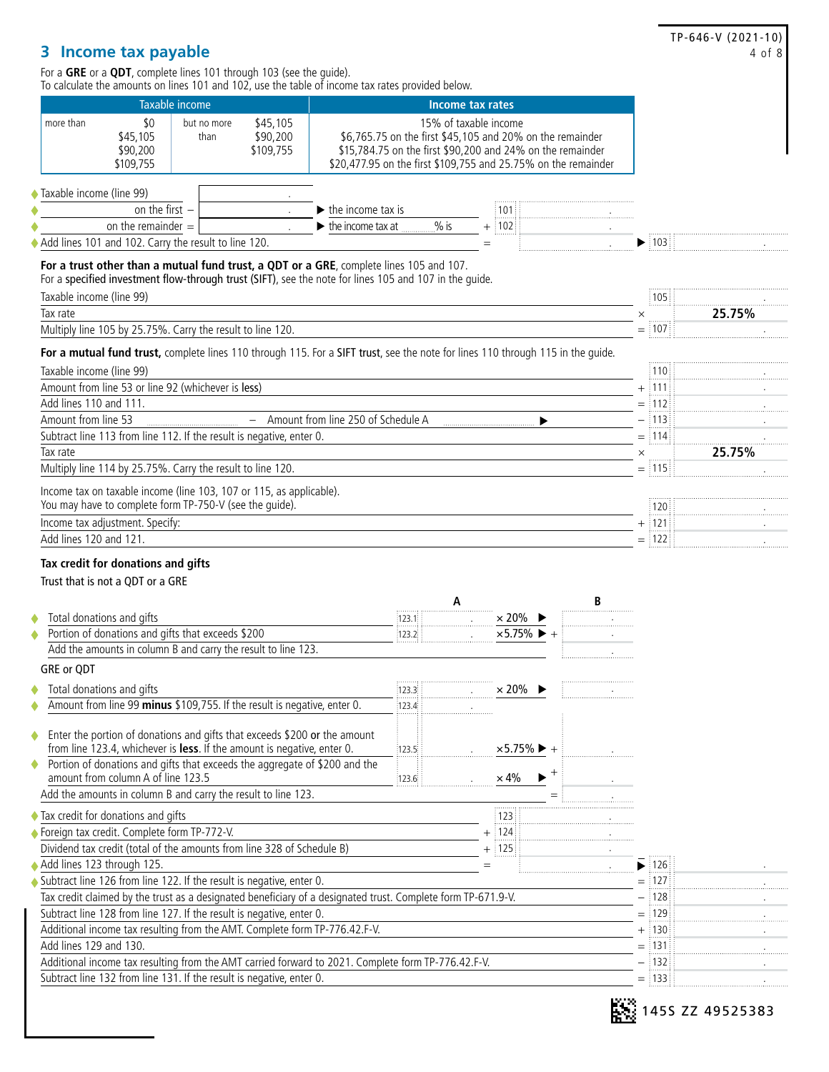TP-646-V (2021-10) 4 of 8

## **3 Income tax payable**

For a **GRE** or a **QDT**, complete lines 101 through 103 (see the guide). To calculate the amounts on lines 101 and 102, use the table of income tax rates provided below.

|                                                                                                                                                                                                   | <b>Taxable income</b> |                     |                                   |                                         |         | <b>Income tax rates</b>                                                                                                                                                                                            |   |                  |        |
|---------------------------------------------------------------------------------------------------------------------------------------------------------------------------------------------------|-----------------------|---------------------|-----------------------------------|-----------------------------------------|---------|--------------------------------------------------------------------------------------------------------------------------------------------------------------------------------------------------------------------|---|------------------|--------|
| more than<br>\$45,105<br>\$90,200<br>\$109,755                                                                                                                                                    | \$0                   | but no more<br>than | \$45,105<br>\$90,200<br>\$109,755 |                                         |         | 15% of taxable income<br>\$6,765.75 on the first \$45,105 and 20% on the remainder<br>\$15,784.75 on the first \$90,200 and 24% on the remainder<br>\$20,477.95 on the first \$109,755 and 25.75% on the remainder |   |                  |        |
| Taxable income (line 99)                                                                                                                                                                          |                       |                     |                                   |                                         |         |                                                                                                                                                                                                                    |   |                  |        |
|                                                                                                                                                                                                   | on the first $-$      |                     |                                   | $\blacktriangleright$ the income tax is |         | ፥ 101                                                                                                                                                                                                              |   |                  |        |
| on the remainder $=$                                                                                                                                                                              |                       |                     |                                   | $\blacktriangleright$ the income tax at | $%$ is  | $+$ 102                                                                                                                                                                                                            |   |                  |        |
| Add lines 101 and 102. Carry the result to line 120.                                                                                                                                              |                       |                     |                                   |                                         |         | $=$                                                                                                                                                                                                                |   | 103              |        |
| For a trust other than a mutual fund trust, a QDT or a GRE, complete lines 105 and 107.<br>For a specified investment flow-through trust (SIFT), see the note for lines 105 and 107 in the quide. |                       |                     |                                   |                                         |         |                                                                                                                                                                                                                    |   |                  |        |
| Taxable income (line 99)                                                                                                                                                                          |                       |                     |                                   |                                         |         |                                                                                                                                                                                                                    |   | 105              |        |
| Tax rate                                                                                                                                                                                          |                       |                     |                                   |                                         |         |                                                                                                                                                                                                                    |   | $\times$         | 25.75% |
| Multiply line 105 by 25.75%. Carry the result to line 120.                                                                                                                                        |                       |                     |                                   |                                         |         |                                                                                                                                                                                                                    |   | $=$ 107          |        |
| For a mutual fund trust, complete lines 110 through 115. For a SIFT trust, see the note for lines 110 through 115 in the quide.                                                                   |                       |                     |                                   |                                         |         |                                                                                                                                                                                                                    |   |                  |        |
| Taxable income (line 99)                                                                                                                                                                          |                       |                     |                                   |                                         |         |                                                                                                                                                                                                                    |   | 110              |        |
| Amount from line 53 or line 92 (whichever is less)                                                                                                                                                |                       |                     |                                   |                                         |         |                                                                                                                                                                                                                    |   | + 111            |        |
| Add lines 110 and 111.                                                                                                                                                                            |                       |                     |                                   |                                         |         |                                                                                                                                                                                                                    |   | $=$ 112          |        |
| Amount from line 53                                                                                                                                                                               |                       |                     |                                   | Amount from line 250 of Schedule A      |         |                                                                                                                                                                                                                    |   | – †113           |        |
| Subtract line 113 from line 112. If the result is negative, enter 0.                                                                                                                              |                       |                     |                                   |                                         |         |                                                                                                                                                                                                                    |   | $=$ 114          |        |
| Tax rate                                                                                                                                                                                          |                       |                     |                                   |                                         |         |                                                                                                                                                                                                                    |   | $\times$<br>     | 25.75% |
| Multiply line 114 by 25.75%. Carry the result to line 120.                                                                                                                                        |                       |                     |                                   |                                         |         |                                                                                                                                                                                                                    |   | $=$ 115          |        |
|                                                                                                                                                                                                   |                       |                     |                                   |                                         |         |                                                                                                                                                                                                                    |   |                  |        |
| Income tax on taxable income (line 103, 107 or 115, as applicable).<br>You may have to complete form TP-750-V (see the quide).                                                                    |                       |                     |                                   |                                         |         |                                                                                                                                                                                                                    |   | 120              |        |
| Income tax adjustment. Specify:                                                                                                                                                                   |                       |                     |                                   |                                         |         |                                                                                                                                                                                                                    |   | $+$ 121          |        |
| Add lines 120 and 121.<br>Tax credit for donations and gifts<br>Trust that is not a QDT or a GRE                                                                                                  |                       |                     |                                   |                                         |         |                                                                                                                                                                                                                    |   | $=$ 122          |        |
| Total donations and gifts                                                                                                                                                                         |                       |                     |                                   |                                         | :123.1: | A<br>$\times$ 20%                                                                                                                                                                                                  | В |                  |        |
| Portion of donations and gifts that exceeds \$200                                                                                                                                                 |                       |                     |                                   |                                         | 123.2   | $\times$ 5.75%                                                                                                                                                                                                     |   |                  |        |
| Add the amounts in column B and carry the result to line 123.                                                                                                                                     |                       |                     |                                   |                                         |         |                                                                                                                                                                                                                    |   |                  |        |
| GRE or QDT                                                                                                                                                                                        |                       |                     |                                   |                                         |         |                                                                                                                                                                                                                    |   |                  |        |
| Total donations and gifts                                                                                                                                                                         |                       |                     |                                   |                                         | 123.3   | $\times$ 20%                                                                                                                                                                                                       |   |                  |        |
| Amount from line 99 minus \$109,755. If the result is negative, enter 0.                                                                                                                          |                       |                     |                                   |                                         | 123.4   |                                                                                                                                                                                                                    |   |                  |        |
| Enter the portion of donations and gifts that exceeds \$200 or the amount<br>from line 123.4, whichever is less. If the amount is negative, enter 0.                                              |                       |                     |                                   |                                         | 123.5   | $\times$ 5.75% $\blacktriangleright$ +                                                                                                                                                                             |   |                  |        |
| Portion of donations and gifts that exceeds the aggregate of \$200 and the                                                                                                                        |                       |                     |                                   |                                         |         |                                                                                                                                                                                                                    |   |                  |        |
| amount from column A of line 123.5                                                                                                                                                                |                       |                     |                                   |                                         | 123.6:  | $\times$ 4%                                                                                                                                                                                                        |   |                  |        |
| Add the amounts in column B and carry the result to line 123.                                                                                                                                     |                       |                     |                                   |                                         |         |                                                                                                                                                                                                                    |   |                  |        |
| ◆ Tax credit for donations and gifts                                                                                                                                                              |                       |                     |                                   |                                         |         | 123                                                                                                                                                                                                                |   |                  |        |
| ◆ Foreign tax credit. Complete form TP-772-V.                                                                                                                                                     |                       |                     |                                   |                                         |         | + 124                                                                                                                                                                                                              |   |                  |        |
| Dividend tax credit (total of the amounts from line 328 of Schedule B)                                                                                                                            |                       |                     |                                   |                                         |         | $+$ 125                                                                                                                                                                                                            |   |                  |        |
|                                                                                                                                                                                                   |                       |                     |                                   |                                         |         | $=$                                                                                                                                                                                                                |   | ▶ 126            |        |
| Add lines 123 through 125.<br>Subtract line 126 from line 122. If the result is negative, enter 0.                                                                                                |                       |                     |                                   |                                         |         |                                                                                                                                                                                                                    |   | $=$ 127          |        |
| Tax credit claimed by the trust as a designated beneficiary of a designated trust. Complete form TP-671.9-V.                                                                                      |                       |                     |                                   |                                         |         |                                                                                                                                                                                                                    |   | 128              |        |
| Subtract line 128 from line 127. If the result is negative, enter 0.                                                                                                                              |                       |                     |                                   |                                         |         |                                                                                                                                                                                                                    |   | $=$ 129          |        |
| Additional income tax resulting from the AMT. Complete form TP-776.42.F-V.                                                                                                                        |                       |                     |                                   |                                         |         |                                                                                                                                                                                                                    |   | + 130            |        |
| Add lines 129 and 130.                                                                                                                                                                            |                       |                     |                                   |                                         |         |                                                                                                                                                                                                                    |   | $=$ 131          |        |
| Additional income tax resulting from the AMT carried forward to 2021. Complete form TP-776.42.F-V.<br>Subtract line 132 from line 131. If the result is negative, enter 0.                        |                       |                     |                                   |                                         |         |                                                                                                                                                                                                                    |   | - 132<br>$=$ 133 |        |

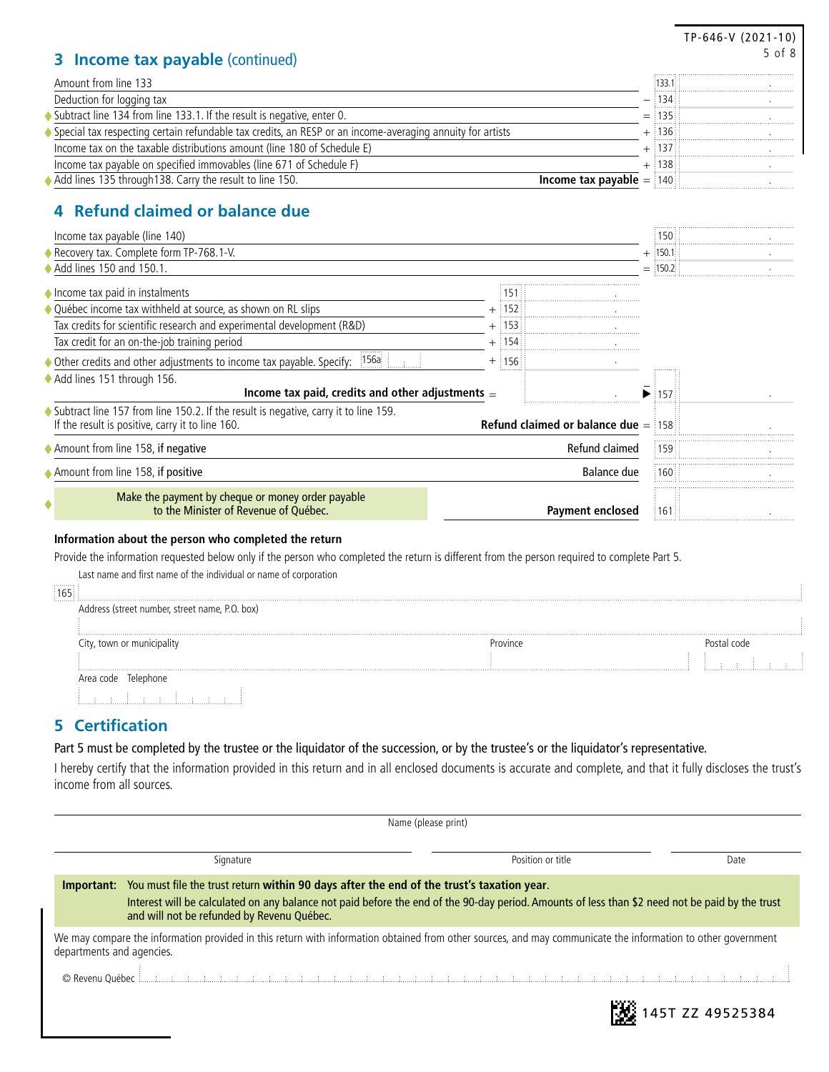|                                                                                                                                               |                                                         |           | $TP-646-V(2021-10)$ |
|-----------------------------------------------------------------------------------------------------------------------------------------------|---------------------------------------------------------|-----------|---------------------|
| <b>Income tax payable (continued)</b><br>3.                                                                                                   |                                                         |           | 5 of 8              |
| Amount from line 133                                                                                                                          |                                                         | 133.1     |                     |
| Deduction for logging tax                                                                                                                     |                                                         | 134       |                     |
| Subtract line 134 from line 133.1. If the result is negative, enter 0.                                                                        |                                                         | $=$ 135   |                     |
| Special tax respecting certain refundable tax credits, an RESP or an income-averaging annuity for artists                                     |                                                         | $+$ 136   |                     |
| Income tax on the taxable distributions amount (line 180 of Schedule E)                                                                       |                                                         | 137       |                     |
| Income tax payable on specified immovables (line 671 of Schedule F)                                                                           |                                                         | $+$ 138   |                     |
| Add lines 135 through 138. Carry the result to line 150.                                                                                      | <b>Income tax payable</b> $=$ 140                       |           |                     |
| 4 Refund claimed or balance due                                                                                                               |                                                         |           |                     |
| Income tax payable (line 140)                                                                                                                 |                                                         | 150       |                     |
| ◆ Recovery tax. Complete form TP-768.1-V.                                                                                                     |                                                         | $+$ 150.1 |                     |
| $\blacklozenge$ Add lines 150 and 150.1.                                                                                                      |                                                         | $=$ 150.2 |                     |
| ♦ Income tax paid in instalments                                                                                                              | 1511                                                    |           |                     |
| Québec income tax withheld at source, as shown on RL slips                                                                                    | $+$ :152                                                |           |                     |
| Tax credits for scientific research and experimental development (R&D)                                                                        | $+$ 153                                                 |           |                     |
| Tax credit for an on-the-job training period                                                                                                  | $+$ :154                                                |           |                     |
| 156a                                                                                                                                          |                                                         |           |                     |
| ◆ Other credits and other adjustments to income tax payable. Specify:                                                                         | $+$ :156                                                |           |                     |
| Add lines 151 through 156.<br>Income tax paid, credits and other adjustments $=$                                                              |                                                         | 157       |                     |
| ♦ Subtract line 157 from line 150.2. If the result is negative, carry it to line 159.                                                         |                                                         |           |                     |
| If the result is positive, carry it to line 160.                                                                                              | <b>Refund claimed or balance due <math>=</math> 158</b> |           |                     |
| Amount from line 158, if negative                                                                                                             | Refund claimed                                          | 159       |                     |
| Amount from line 158, if positive                                                                                                             | Balance due                                             | 160       |                     |
|                                                                                                                                               |                                                         |           |                     |
| Make the payment by cheque or money order payable<br>to the Minister of Revenue of Québec.                                                    | <b>Payment enclosed</b>                                 | :161      |                     |
| Information about the person who completed the return                                                                                         |                                                         |           |                     |
| Provide the information requested below only if the person who completed the return is different from the person required to complete Part 5. |                                                         |           |                     |
| Last name and first name of the individual or name of corporation                                                                             |                                                         |           |                     |
|                                                                                                                                               |                                                         |           |                     |
| 165                                                                                                                                           |                                                         |           |                     |
| Address (street number, street name, P.O. box)                                                                                                |                                                         |           |                     |
| City, town or municipality                                                                                                                    | Province                                                |           | Postal code         |
|                                                                                                                                               |                                                         |           |                     |
| Area code Telephone                                                                                                                           |                                                         |           |                     |
| المستسلسات                                                                                                                                    |                                                         |           |                     |
|                                                                                                                                               |                                                         |           |                     |
| <b>Certification</b><br>5                                                                                                                     |                                                         |           |                     |

٦

Part 5 must be completed by the trustee or the liquidator of the succession, or by the trustee's or the liquidator's representative.

I hereby certify that the information provided in this return and in all enclosed documents is accurate and complete, and that it fully discloses the trust's income from all sources.

|                                                                                                                                                                                           |                                                                                                                                                                                                                                                                                                       | Name (please print) |                  |  |  |
|-------------------------------------------------------------------------------------------------------------------------------------------------------------------------------------------|-------------------------------------------------------------------------------------------------------------------------------------------------------------------------------------------------------------------------------------------------------------------------------------------------------|---------------------|------------------|--|--|
|                                                                                                                                                                                           | Signature                                                                                                                                                                                                                                                                                             | Position or title   | Date             |  |  |
|                                                                                                                                                                                           | Important: You must file the trust return within 90 days after the end of the trust's taxation year.<br>Interest will be calculated on any balance not paid before the end of the 90-day period. Amounts of less than \$2 need not be paid by the trust<br>and will not be refunded by Revenu Québec. |                     |                  |  |  |
| We may compare the information provided in this return with information obtained from other sources, and may communicate the information to other government<br>departments and agencies. |                                                                                                                                                                                                                                                                                                       |                     |                  |  |  |
|                                                                                                                                                                                           |                                                                                                                                                                                                                                                                                                       |                     | 145T ZZ 49525384 |  |  |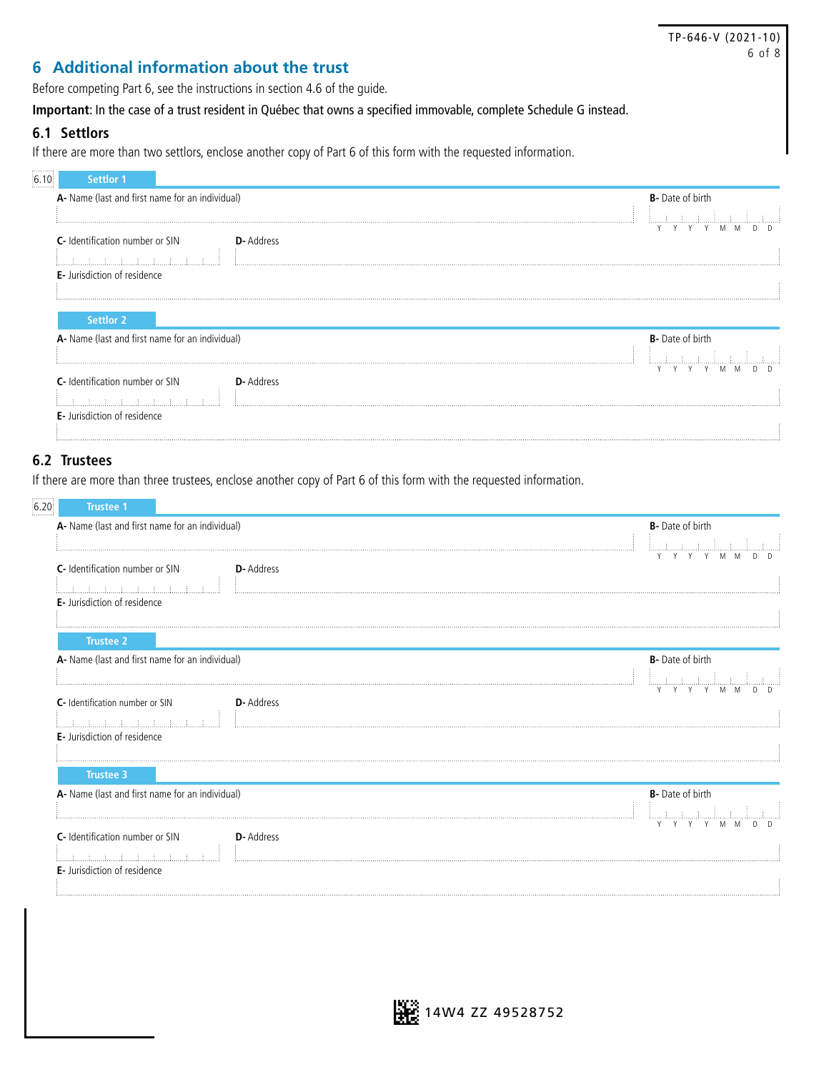|                                                                                                                                                      | TP-646-V (2021-10)      |
|------------------------------------------------------------------------------------------------------------------------------------------------------|-------------------------|
|                                                                                                                                                      | 6 of 8                  |
| 6 Additional information about the trust                                                                                                             |                         |
| Before competing Part 6, see the instructions in section 4.6 of the guide.                                                                           |                         |
| Important: In the case of a trust resident in Québec that owns a specified immovable, complete Schedule G instead.                                   |                         |
| 6.1 Settlors<br>If there are more than two settlors, enclose another copy of Part 6 of this form with the requested information.<br><b>Settlor 1</b> |                         |
| A- Name (last and first name for an individual)                                                                                                      | <b>B-</b> Date of birth |
|                                                                                                                                                      |                         |
| <b>C</b> - Identification number or SIN<br><b>D</b> -Address                                                                                         |                         |
|                                                                                                                                                      |                         |
| <b>E</b> - Jurisdiction of residence                                                                                                                 |                         |
|                                                                                                                                                      |                         |

| <b>Settlor 2</b>                                  |                                                     |
|---------------------------------------------------|-----------------------------------------------------|
| A- Name (last and first name for an individual)   | <b>B-</b> Date of birth<br><b>Contract Contract</b> |
| <b>C</b> - Identification number or SIN<br>yyuute | Y Y Y Y M M<br>n n                                  |
| <b>E</b> - Jurisdiction of residence              |                                                     |

#### **6.2 Trustees**

If there are more than three trustees, enclose another copy of Part 6 of this form with the requested information.

| A- Name (last and first name for an individual)      | <b>B-</b> Date of birth |
|------------------------------------------------------|-------------------------|
|                                                      | ليبتلبونه والمسهمة      |
| C- Identification number or SIN<br><b>D</b> -Address | Y Y Y M M               |
| <u> 1.  1.  1.  1.  1.  1.  1.  1</u>                |                         |
| <b>E</b> - Jurisdiction of residence                 |                         |
| <b>Trustee 2</b>                                     |                         |
| A- Name (last and first name for an individual)      | <b>B-</b> Date of birth |
|                                                      |                         |
| <b>D</b> -Address<br>C- Identification number or SIN |                         |
|                                                      |                         |
| E- Jurisdiction of residence                         |                         |
|                                                      |                         |
| <b>Trustee 3</b>                                     |                         |
| A- Name (last and first name for an individual)      | <b>B-</b> Date of birth |
|                                                      | ببنانيسا بالمستسل       |
| C- Identification number or SIN<br>D- Address        | Y Y Y Y M M<br>D.       |
|                                                      |                         |
| E- Jurisdiction of residence                         |                         |
|                                                      |                         |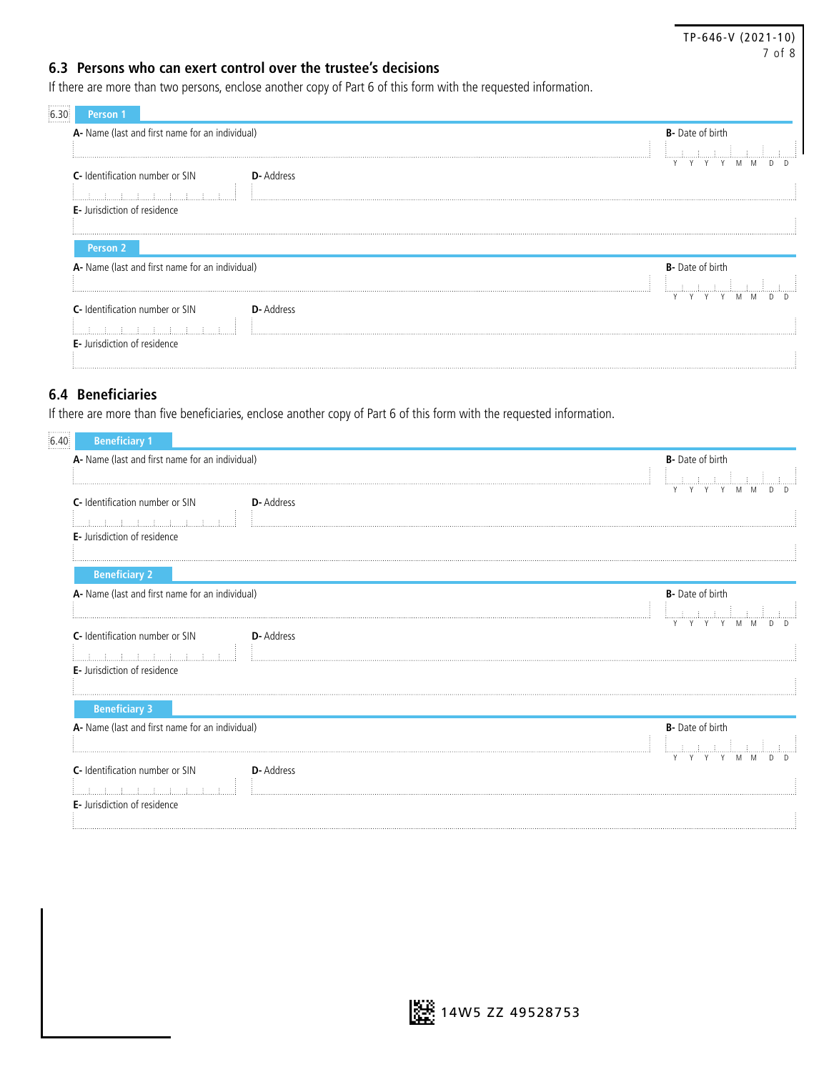#### TP-646-V (2021-10) 7 of 8

#### **6.3 Persons who can exert control over the trustee's decisions**

If there are more than two persons, enclose another copy of Part 6 of this form with the requested information.

| A- Name (last and first name for an individual)      | <b>B</b> - Date of birth |
|------------------------------------------------------|--------------------------|
|                                                      |                          |
| <b>D</b> -Address<br>C- Identification number or SIN |                          |
| ほうしょうしょう ほうしょうほう                                     |                          |
| <b>E</b> - Jurisdiction of residence                 |                          |
|                                                      |                          |
| Person <sub>2</sub>                                  |                          |
| A- Name (last and first name for an individual)      | <b>B-</b> Date of birth  |
|                                                      |                          |
|                                                      |                          |
| C- Identification number or SIN<br>D-Address         |                          |
|                                                      |                          |
|                                                      |                          |

#### **6.4 Beneficiaries**

If there are more than five beneficiaries, enclose another copy of Part 6 of this form with the requested information.

| 6.40.<br><b>Beneficiary 1</b>                        |                         |
|------------------------------------------------------|-------------------------|
| A- Name (last and first name for an individual)      | <b>B-</b> Date of birth |
| C- Identification number or SIN<br><b>D-Address</b>  |                         |
| <u>di di di di di di di di di di d</u>               |                         |
| E- Jurisdiction of residence                         |                         |
| <b>Beneficiary 2</b>                                 |                         |
| A- Name (last and first name for an individual)      | <b>B-</b> Date of birth |
|                                                      | Y Y Y M M<br>Y          |
| C- Identification number or SIN<br><b>D-Address</b>  |                         |
| أستلاسيا المساد المستحد المساد المساد                |                         |
| <b>E-</b> Jurisdiction of residence                  |                         |
| <b>Beneficiary 3</b>                                 |                         |
| A- Name (last and first name for an individual)      | <b>B-</b> Date of birth |
|                                                      | للسلسلة المستحققات      |
|                                                      | Y Y<br>M M              |
| C- Identification number or SIN<br><b>D</b> -Address |                         |
| E- Jurisdiction of residence                         |                         |
|                                                      |                         |

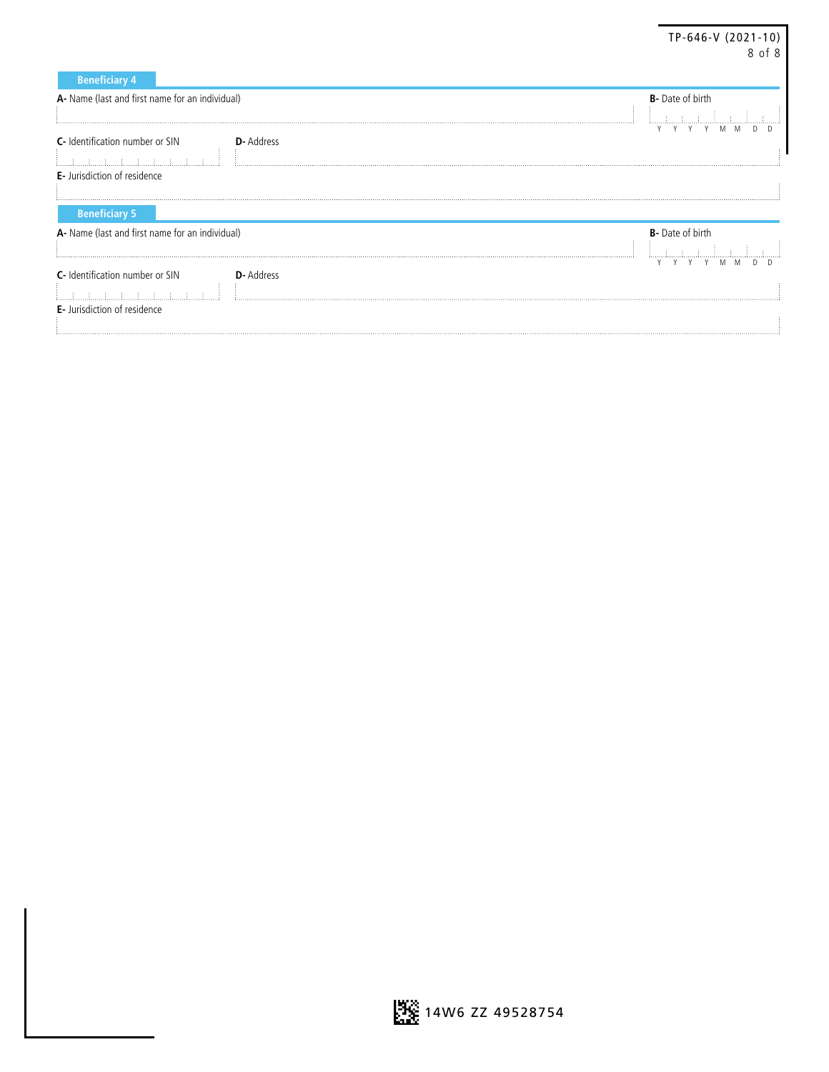|                                                      | TP-646-V (2021-10)<br>8 of 8 |
|------------------------------------------------------|------------------------------|
| <b>Beneficiary 4</b>                                 |                              |
| A- Name (last and first name for an individual)      | <b>B-</b> Date of birth      |
|                                                      |                              |
| C- Identification number or SIN<br><b>D-</b> Address |                              |
| <b>E</b> - Jurisdiction of residence                 |                              |
| <b>Beneficiary 5</b>                                 |                              |
| A- Name (last and first name for an individual)      | <b>B-</b> Date of birth      |
| C- Identification number or SIN<br><b>D</b> -Address |                              |
|                                                      |                              |
| E- Jurisdiction of residence                         |                              |

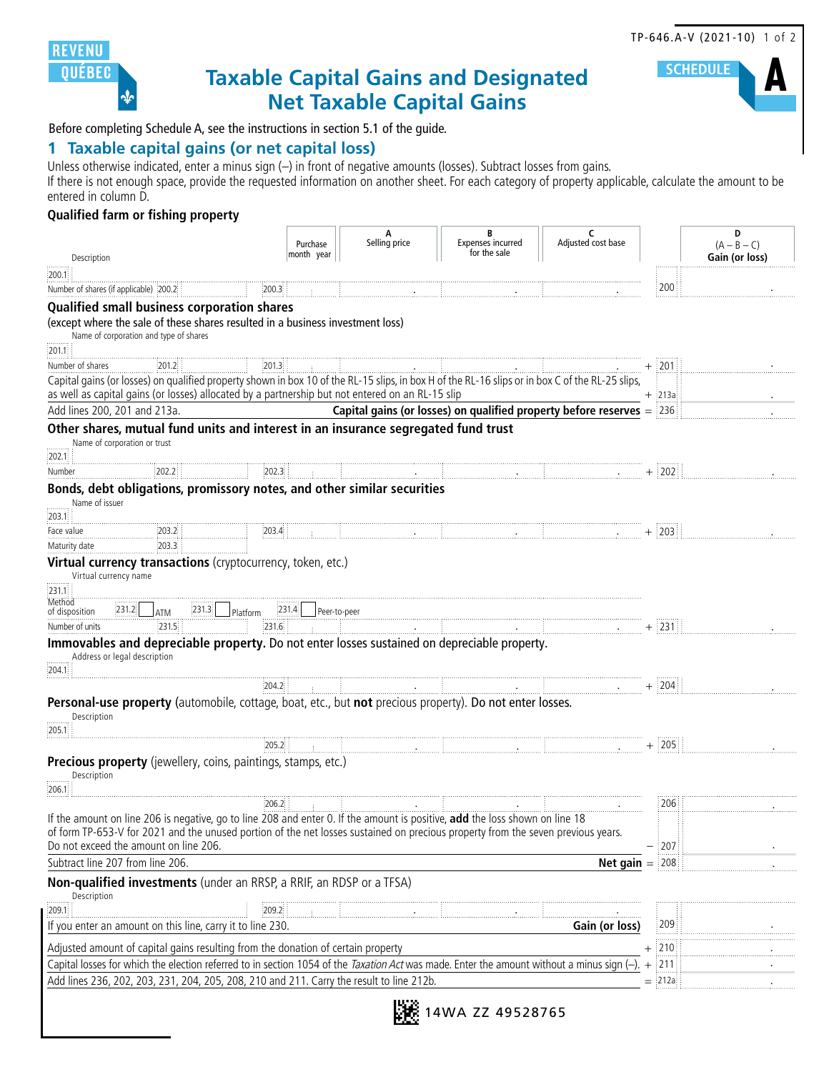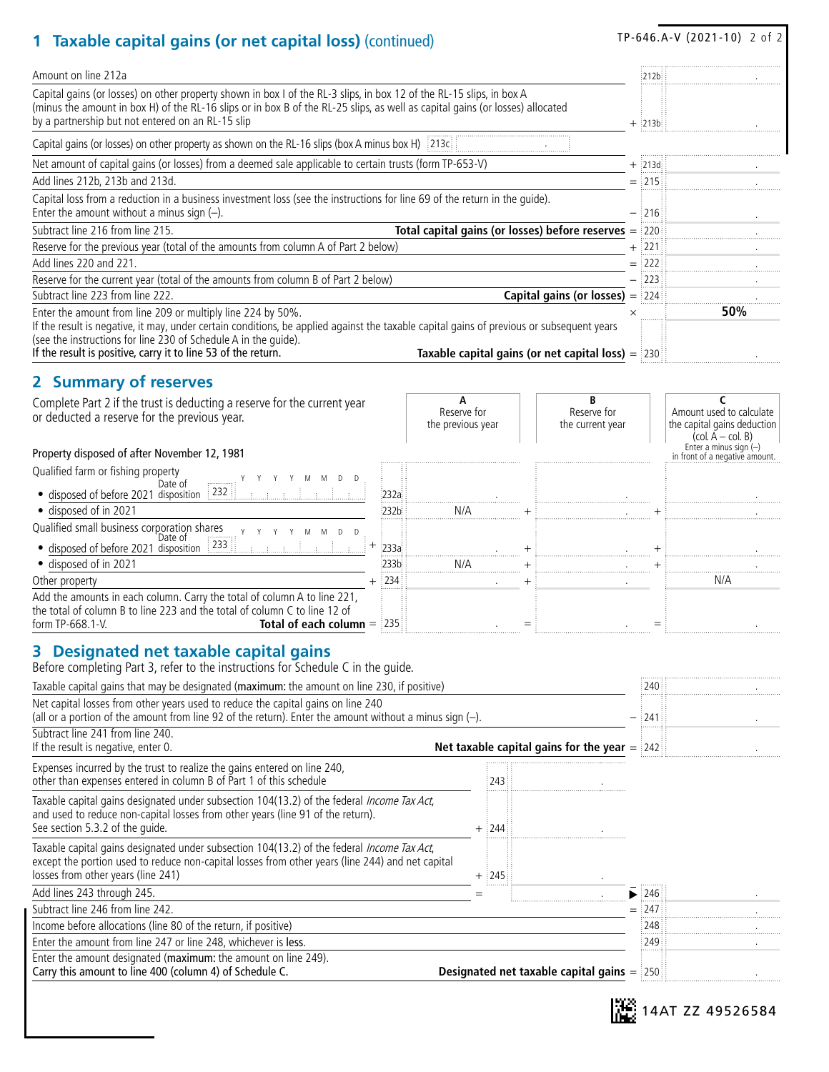# TP-646.A-V (2021-10) 2 of 2 **1 Taxable capital gains (or net capital loss)** (continued)

| capital gains (or net capital 1033) (continued)                                                                                                                                                                                                                                                                                              |                                                   |                                                     |            |                                              |          |            |                                                                                   |
|----------------------------------------------------------------------------------------------------------------------------------------------------------------------------------------------------------------------------------------------------------------------------------------------------------------------------------------------|---------------------------------------------------|-----------------------------------------------------|------------|----------------------------------------------|----------|------------|-----------------------------------------------------------------------------------|
| Amount on line 212a                                                                                                                                                                                                                                                                                                                          |                                                   |                                                     |            |                                              |          | 212b       |                                                                                   |
| Capital gains (or losses) on other property shown in box I of the RL-3 slips, in box 12 of the RL-15 slips, in box A<br>(minus the amount in box H) of the RL-16 slips or in box B of the RL-25 slips, as well as capital gains (or losses) allocated<br>by a partnership but not entered on an RL-15 slip                                   |                                                   |                                                     | $+$ :213b: |                                              |          |            |                                                                                   |
| Capital gains (or losses) on other property as shown on the RL-16 slips (box A minus box H) [213c]                                                                                                                                                                                                                                           |                                                   |                                                     |            |                                              |          |            |                                                                                   |
| Net amount of capital gains (or losses) from a deemed sale applicable to certain trusts (form TP-653-V)                                                                                                                                                                                                                                      |                                                   |                                                     |            |                                              |          | $+$ :213d: |                                                                                   |
| Add lines 212b, 213b and 213d.                                                                                                                                                                                                                                                                                                               |                                                   |                                                     |            |                                              |          | $=$ 215    |                                                                                   |
| Capital loss from a reduction in a business investment loss (see the instructions for line 69 of the return in the quide).<br>Enter the amount without a minus sign $(-)$ .                                                                                                                                                                  |                                                   | $-$ 1216                                            |            |                                              |          |            |                                                                                   |
| Subtract line 216 from line 215.                                                                                                                                                                                                                                                                                                             | Total capital gains (or losses) before reserves = | $\frac{1}{2}220$                                    |            |                                              |          |            |                                                                                   |
| Reserve for the previous year (total of the amounts from column A of Part 2 below)                                                                                                                                                                                                                                                           |                                                   | + :221                                              |            |                                              |          |            |                                                                                   |
| Add lines 220 and 221.                                                                                                                                                                                                                                                                                                                       |                                                   |                                                     |            |                                              |          | $=$ :222   |                                                                                   |
| Reserve for the current year (total of the amounts from column B of Part 2 below)                                                                                                                                                                                                                                                            |                                                   |                                                     |            |                                              |          | 1223       |                                                                                   |
| Subtract line 223 from line 222.                                                                                                                                                                                                                                                                                                             |                                                   |                                                     |            | <b>Capital gains (or losses)</b> $=$ $ 224 $ |          |            |                                                                                   |
| Enter the amount from line 209 or multiply line 224 by 50%.<br>If the result is negative, it may, under certain conditions, be applied against the taxable capital gains of previous or subsequent years<br>(see the instructions for line 230 of Schedule A in the quide).<br>If the result is positive, carry it to line 53 of the return. |                                                   | Taxable capital gains (or net capital loss) $=$ 230 |            |                                              | $\times$ |            | 50%                                                                               |
| 2 Summary of reserves                                                                                                                                                                                                                                                                                                                        |                                                   |                                                     |            |                                              |          |            |                                                                                   |
| Complete Part 2 if the trust is deducting a reserve for the current year<br>or deducted a reserve for the previous year.                                                                                                                                                                                                                     |                                                   | А<br>Reserve for<br>the previous year               |            | B<br>Reserve for<br>the current year         |          |            | C<br>Amount used to calculate<br>the capital gains deduction<br>(col. A – col. B) |
| Property disposed of after November 12, 1981                                                                                                                                                                                                                                                                                                 |                                                   |                                                     |            |                                              |          |            | Enter a minus sign $(-)$<br>in front of a negative amount.                        |
| Qualified farm or fishing property                                                                                                                                                                                                                                                                                                           |                                                   |                                                     |            |                                              |          |            |                                                                                   |
| Date of<br>• disposed of before 2021 disposition 232                                                                                                                                                                                                                                                                                         | :232a                                             |                                                     |            |                                              |          |            |                                                                                   |
| · disposed of in 2021                                                                                                                                                                                                                                                                                                                        | 232b                                              | N/A                                                 |            |                                              |          |            |                                                                                   |
| Qualified small business corporation shares                                                                                                                                                                                                                                                                                                  |                                                   |                                                     |            |                                              |          |            |                                                                                   |
| Y Y<br>M<br>M<br>D<br>Date of                                                                                                                                                                                                                                                                                                                | 233a                                              |                                                     |            |                                              |          |            |                                                                                   |
| • disposed of before 2021 disposition 233<br>· disposed of in 2021                                                                                                                                                                                                                                                                           | 233b                                              | N/A                                                 |            |                                              |          |            |                                                                                   |
| Other property                                                                                                                                                                                                                                                                                                                               | $\frac{1}{2}$ 234                                 |                                                     |            |                                              |          |            | N/A                                                                               |
| Add the amounts in each column. Carry the total of column A to line 221,<br>the total of column B to line 223 and the total of column C to line 12 of                                                                                                                                                                                        |                                                   |                                                     |            |                                              |          |            |                                                                                   |
| form TP-668.1-V.<br><b>Total of each column = 235</b>                                                                                                                                                                                                                                                                                        |                                                   |                                                     |            |                                              |          |            |                                                                                   |
| 3 Designated net taxable capital gains<br>Before completing Part 3, refer to the instructions for Schedule C in the guide.                                                                                                                                                                                                                   |                                                   |                                                     |            |                                              |          |            |                                                                                   |
| Taxable capital gains that may be designated (maximum: the amount on line 230, if positive)                                                                                                                                                                                                                                                  |                                                   |                                                     |            |                                              |          | 240        |                                                                                   |
| Net capital losses from other years used to reduce the capital gains on line 240<br>(all or a portion of the amount from line 92 of the return). Enter the amount without a minus sign $(-)$ .                                                                                                                                               |                                                   |                                                     |            |                                              |          |            |                                                                                   |
| Subtract line 241 from line 240.<br>If the result is negative, enter 0.<br>Net taxable capital gains for the year $=$ $ 242 $                                                                                                                                                                                                                |                                                   |                                                     |            |                                              |          |            |                                                                                   |
| Expenses incurred by the trust to realize the gains entered on line 240,<br>other than expenses entered in column B of Part 1 of this schedule                                                                                                                                                                                               |                                                   | 243                                                 |            |                                              |          |            |                                                                                   |
| Taxable capital gains designated under subsection 104(13.2) of the federal Income Tax Act,<br>and used to reduce non-capital losses from other years (line 91 of the return).<br>See section 5.3.2 of the quide.                                                                                                                             |                                                   | $+$ 244                                             |            |                                              |          |            |                                                                                   |
| Taxable capital gains designated under subsection 104(13.2) of the federal Income Tax Act,<br>except the portion used to reduce non-capital losses from other years (line 244) and net capital<br>losses from other years (line 241)                                                                                                         |                                                   | $+$ 245                                             |            |                                              |          |            |                                                                                   |
| Add lines 243 through 245.                                                                                                                                                                                                                                                                                                                   |                                                   | $=$                                                 |            |                                              |          | ▶ $246$    |                                                                                   |
| Subtract line 246 from line 242.                                                                                                                                                                                                                                                                                                             |                                                   |                                                     |            |                                              |          | $=$ 247    |                                                                                   |
| Income before allocations (line 80 of the return, if positive)                                                                                                                                                                                                                                                                               |                                                   |                                                     |            |                                              |          | 248        |                                                                                   |
| Enter the amount from line 247 or line 248, whichever is less.                                                                                                                                                                                                                                                                               |                                                   |                                                     |            |                                              |          | 249        |                                                                                   |
| Enter the amount designated (maximum: the amount on line 249).                                                                                                                                                                                                                                                                               |                                                   |                                                     |            |                                              |          |            |                                                                                   |

Carry this amount to line 400 (column 4) of Schedule C. **Designated net taxable capital gains** = 250 .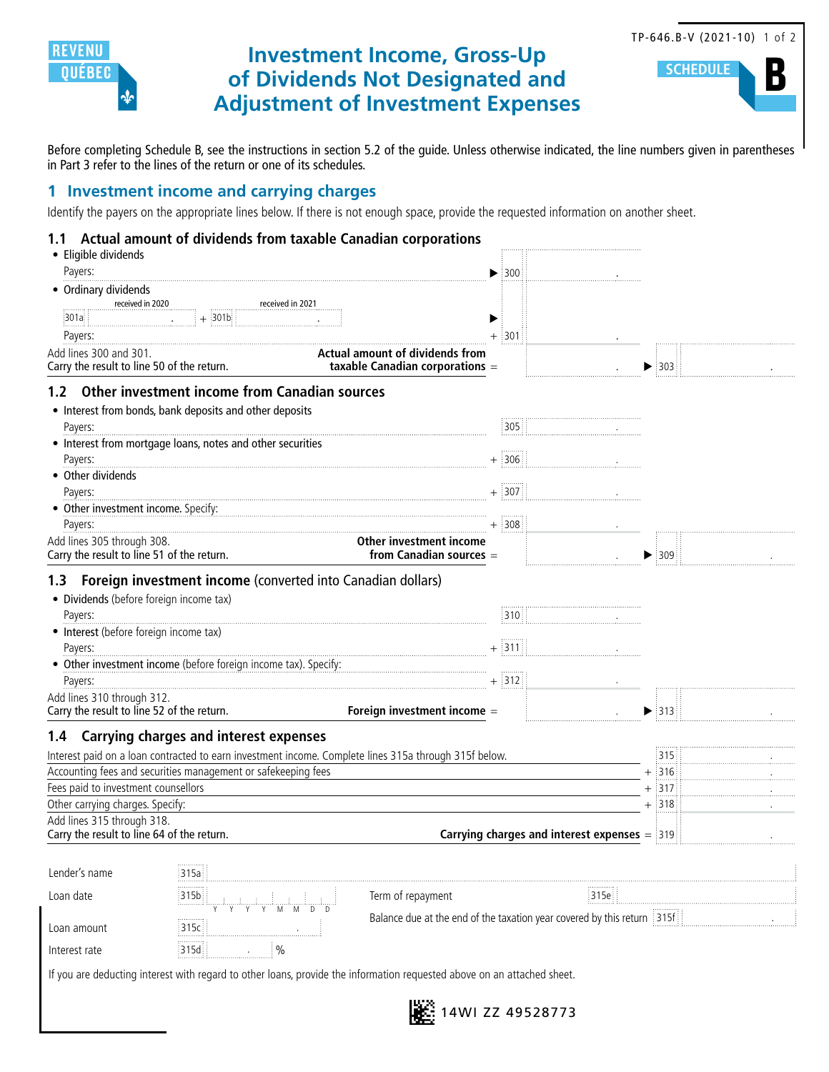

## **Investment Income, Gross-Up of Dividends Not Designated and Adjustment of Investment Expenses**



**SCHEDUL** 

Before completing Schedule B, see the instructions in section 5.2 of the guide. Unless otherwise indicated, the line numbers given in parentheses in Part 3 refer to the lines of the return or one of its schedules.

#### **1 Investment income and carrying charges**

Identify the payers on the appropriate lines below. If there is not enough space, provide the requested information on another sheet.

#### **1.1 Actual amount of dividends from taxable Canadian corporations**

|                                            | Actual amount of dividends from taxable Canadian corporations                                         |                                                                         |                                                                  |      |                           |  |
|--------------------------------------------|-------------------------------------------------------------------------------------------------------|-------------------------------------------------------------------------|------------------------------------------------------------------|------|---------------------------|--|
| • Eligible dividends                       |                                                                                                       |                                                                         |                                                                  |      |                           |  |
| Payers:                                    |                                                                                                       |                                                                         | $\blacktriangleright$ 300                                        |      |                           |  |
| • Ordinary dividends<br>received in 2020   | received in 2021                                                                                      |                                                                         |                                                                  |      |                           |  |
| 301a:                                      | $+301b$                                                                                               |                                                                         |                                                                  |      |                           |  |
| Payers:                                    |                                                                                                       |                                                                         | $+$ 301                                                          |      |                           |  |
| Add lines 300 and 301.                     |                                                                                                       | Actual amount of dividends from                                         |                                                                  |      |                           |  |
| Carry the result to line 50 of the return. |                                                                                                       | taxable Canadian corporations =                                         |                                                                  |      | $\blacktriangleright$ 303 |  |
| 1.2 <sub>1</sub>                           | Other investment income from Canadian sources                                                         |                                                                         |                                                                  |      |                           |  |
|                                            | • Interest from bonds, bank deposits and other deposits                                               |                                                                         |                                                                  |      |                           |  |
| Payers:                                    |                                                                                                       |                                                                         | 305                                                              |      |                           |  |
|                                            | • Interest from mortgage loans, notes and other securities                                            |                                                                         |                                                                  |      |                           |  |
| Payers:                                    |                                                                                                       |                                                                         | $+$ 306                                                          |      |                           |  |
| • Other dividends                          |                                                                                                       |                                                                         |                                                                  |      |                           |  |
| Payers:                                    |                                                                                                       |                                                                         | $+$ 307                                                          |      |                           |  |
| • Other investment income. Specify:        |                                                                                                       |                                                                         |                                                                  |      |                           |  |
| Payers:                                    |                                                                                                       |                                                                         | $+$ 308                                                          |      |                           |  |
| Add lines 305 through 308.                 |                                                                                                       | Other investment income                                                 |                                                                  |      |                           |  |
| Carry the result to line 51 of the return. |                                                                                                       | from Canadian sources =                                                 |                                                                  |      | $\blacktriangleright$ 309 |  |
| 1.3                                        | Foreign investment income (converted into Canadian dollars)                                           |                                                                         |                                                                  |      |                           |  |
| · Dividends (before foreign income tax)    |                                                                                                       |                                                                         |                                                                  |      |                           |  |
| Payers:                                    |                                                                                                       |                                                                         | 310                                                              |      |                           |  |
| • Interest (before foreign income tax)     |                                                                                                       |                                                                         |                                                                  |      |                           |  |
| Payers:                                    |                                                                                                       |                                                                         | $+ 311$                                                          |      |                           |  |
|                                            | • Other investment income (before foreign income tax). Specify:                                       |                                                                         |                                                                  |      |                           |  |
| Payers:                                    |                                                                                                       |                                                                         | $+ 312$                                                          |      |                           |  |
| Add lines 310 through 312.                 |                                                                                                       |                                                                         |                                                                  |      |                           |  |
| Carry the result to line 52 of the return. |                                                                                                       | Foreign investment income =                                             |                                                                  |      | $\blacktriangleright$ 313 |  |
| 1.4                                        | <b>Carrying charges and interest expenses</b>                                                         |                                                                         |                                                                  |      |                           |  |
|                                            | Interest paid on a loan contracted to earn investment income. Complete lines 315a through 315f below. |                                                                         |                                                                  |      | 315                       |  |
|                                            | Accounting fees and securities management or safekeeping fees                                         |                                                                         |                                                                  |      | $+$ 316                   |  |
| Fees paid to investment counsellors        |                                                                                                       |                                                                         |                                                                  |      | $+$ 317                   |  |
| Other carrying charges. Specify:           |                                                                                                       |                                                                         |                                                                  |      | $+$ 318                   |  |
| Add lines 315 through 318.                 |                                                                                                       |                                                                         |                                                                  |      |                           |  |
| Carry the result to line 64 of the return. |                                                                                                       |                                                                         | <b>Carrying charges and interest expenses <math>=</math></b> 319 |      |                           |  |
| Lender's name                              | .<br>315a                                                                                             |                                                                         |                                                                  |      |                           |  |
|                                            |                                                                                                       |                                                                         |                                                                  |      |                           |  |
| Loan date                                  | 315b<br>M<br>D <sub>D</sub><br>M                                                                      | Term of repayment                                                       |                                                                  | 315e |                           |  |
| Loan amount                                | ,,,,,,,,,,<br>315c                                                                                    | Balance due at the end of the taxation year covered by this return 315f |                                                                  |      |                           |  |
| Interest rate                              | 315d                                                                                                  |                                                                         |                                                                  |      |                           |  |
|                                            | $\%$                                                                                                  |                                                                         |                                                                  |      |                           |  |

If you are deducting interest with regard to other loans, provide the information requested above on an attached sheet.

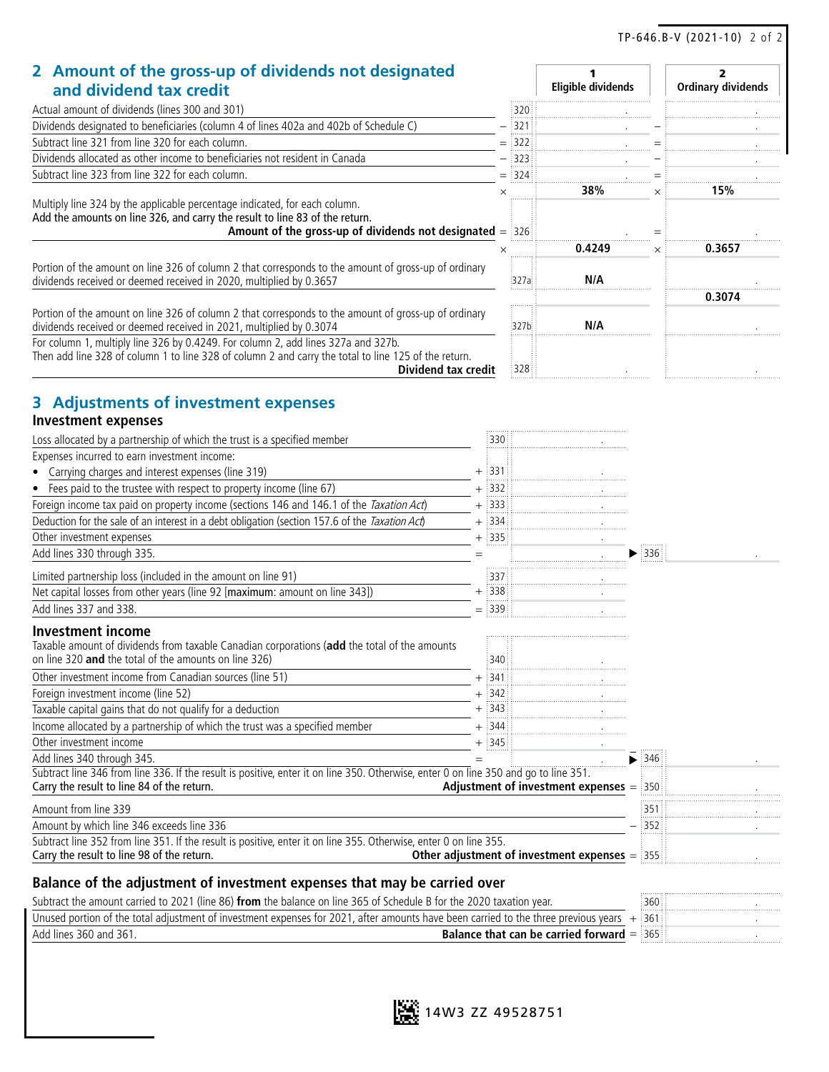2

1

#### **2 Amount of the gross-up of dividends not designated and dividend tax credit**

| and dividend tax credit                                                                                                                                                                                                 |          | Eligible dividends |          | <b>Ordinary dividends</b> |
|-------------------------------------------------------------------------------------------------------------------------------------------------------------------------------------------------------------------------|----------|--------------------|----------|---------------------------|
| Actual amount of dividends (lines 300 and 301)                                                                                                                                                                          | :320     |                    |          |                           |
| Dividends designated to beneficiaries (column 4 of lines 402a and 402b of Schedule C)                                                                                                                                   | 321      |                    |          |                           |
| Subtract line 321 from line 320 for each column.                                                                                                                                                                        | $=$ :322 |                    |          |                           |
| Dividends allocated as other income to beneficiaries not resident in Canada                                                                                                                                             | 1323     |                    |          |                           |
| Subtract line 323 from line 322 for each column.                                                                                                                                                                        | $=$ 324  |                    |          |                           |
|                                                                                                                                                                                                                         |          | 38%                |          | 15%                       |
| Multiply line 324 by the applicable percentage indicated, for each column.<br>Add the amounts on line 326, and carry the result to line 83 of the return.<br>Amount of the gross-up of dividends not designated $=$ 326 |          | 0.4249             | $\times$ | 0.3657                    |
| Portion of the amount on line 326 of column 2 that corresponds to the amount of gross-up of ordinary<br>dividends received or deemed received in 2020, multiplied by 0.3657                                             | 327a     | N/A                |          |                           |
|                                                                                                                                                                                                                         |          |                    |          | 0.3074                    |
| Portion of the amount on line 326 of column 2 that corresponds to the amount of gross-up of ordinary<br>dividends received or deemed received in 2021, multiplied by 0.3074                                             | :327b    | N/A                |          |                           |
| For column 1, multiply line 326 by 0.4249. For column 2, add lines 327a and 327b.<br>Then add line 328 of column 1 to line 328 of column 2 and carry the total to line 125 of the return.<br>Dividend tax credit        | 328      |                    |          |                           |

## **3 Adjustments of investment expenses**

#### **Investment expenses**

| Loss allocated by a partnership of which the trust is a specified member                                                                                                           | :330 :    |                                                 |                             |  |
|------------------------------------------------------------------------------------------------------------------------------------------------------------------------------------|-----------|-------------------------------------------------|-----------------------------|--|
| Expenses incurred to earn investment income:                                                                                                                                       |           |                                                 |                             |  |
| • Carrying charges and interest expenses (line 319)                                                                                                                                | $+$ :331  |                                                 |                             |  |
| Fees paid to the trustee with respect to property income (line 67)<br>$\bullet$                                                                                                    | $+$ 332   |                                                 |                             |  |
| Foreign income tax paid on property income (sections 146 and 146.1 of the Taxation Act)                                                                                            | $+ 333$   |                                                 |                             |  |
| Deduction for the sale of an interest in a debt obligation (section 157.6 of the Taxation Act)                                                                                     | $+$ :334: |                                                 |                             |  |
| Other investment expenses                                                                                                                                                          | $+$ 335   |                                                 |                             |  |
| Add lines 330 through 335.                                                                                                                                                         |           |                                                 | $\blacktriangleright$ :336: |  |
| Limited partnership loss (included in the amount on line 91)                                                                                                                       | 337       |                                                 |                             |  |
| Net capital losses from other years (line 92 [maximum: amount on line 343])                                                                                                        | $+$ 338   |                                                 |                             |  |
| Add lines 337 and 338.                                                                                                                                                             | $=$ 339   |                                                 |                             |  |
| <b>Investment income</b>                                                                                                                                                           |           |                                                 |                             |  |
| Taxable amount of dividends from taxable Canadian corporations (add the total of the amounts<br>on line 320 and the total of the amounts on line 326)                              | :340      |                                                 |                             |  |
| Other investment income from Canadian sources (line 51)                                                                                                                            | :341      |                                                 |                             |  |
| Foreign investment income (line 52)                                                                                                                                                | $+$ :342  |                                                 |                             |  |
| Taxable capital gains that do not qualify for a deduction                                                                                                                          | $+$ 343   |                                                 |                             |  |
| Income allocated by a partnership of which the trust was a specified member                                                                                                        | $+$ :344: |                                                 |                             |  |
| Other investment income                                                                                                                                                            | $+$ 345   |                                                 |                             |  |
| Add lines 340 through 345.                                                                                                                                                         |           |                                                 | $\blacktriangleright$ 346   |  |
| Subtract line 346 from line 336. If the result is positive, enter it on line 350. Otherwise, enter 0 on line 350 and go to line 351.<br>Carry the result to line 84 of the return. |           | Adjustment of investment expenses $=$ 350       |                             |  |
| Amount from line 339                                                                                                                                                               |           |                                                 | 351                         |  |
| Amount by which line 346 exceeds line 336                                                                                                                                          |           |                                                 | 352                         |  |
| Subtract line 352 from line 351. If the result is positive, enter it on line 355. Otherwise, enter 0 on line 355.<br>Carry the result to line 98 of the return.                    |           | Other adjustment of investment expenses $=$ 355 |                             |  |
| Balance of the adjustment of investment expenses that may be carried over                                                                                                          |           |                                                 |                             |  |
| Subtract the amount carried to 2021 (line 86) from the balance on line 365 of Schedule B for the 2020 taxation year.                                                               |           |                                                 | :360                        |  |
| Unused portion of the total adjustment of investment expenses for 2021, after amounts have been carried to the three previous years $+$ 361                                        |           |                                                 |                             |  |



 $\overline{\mathsf{Add}}$  lines 360 and 361.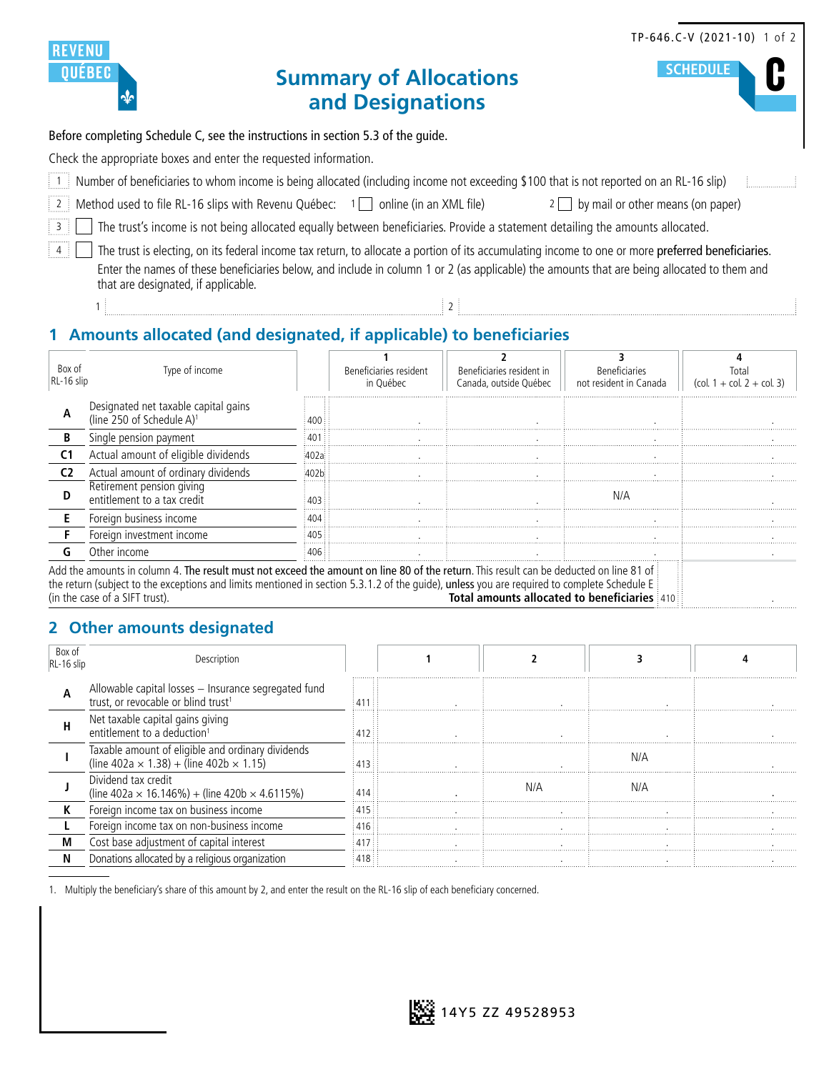|                                                                                 |                                                                                                                                                                                                                                                                                                                                         |                                                   |                                                     |                                                | TP-646.C-V (2021-10) 1 of 2                                              |  |  |  |  |
|---------------------------------------------------------------------------------|-----------------------------------------------------------------------------------------------------------------------------------------------------------------------------------------------------------------------------------------------------------------------------------------------------------------------------------------|---------------------------------------------------|-----------------------------------------------------|------------------------------------------------|--------------------------------------------------------------------------|--|--|--|--|
|                                                                                 | <b>UEBEC</b>                                                                                                                                                                                                                                                                                                                            | <b>Summary of Allocations</b><br>and Designations |                                                     |                                                | <b>SCHEDULE</b>                                                          |  |  |  |  |
| Before completing Schedule C, see the instructions in section 5.3 of the guide. |                                                                                                                                                                                                                                                                                                                                         |                                                   |                                                     |                                                |                                                                          |  |  |  |  |
|                                                                                 | Check the appropriate boxes and enter the requested information.                                                                                                                                                                                                                                                                        |                                                   |                                                     |                                                |                                                                          |  |  |  |  |
|                                                                                 | [1] Number of beneficiaries to whom income is being allocated (including income not exceeding \$100 that is not reported on an RL-16 slip)                                                                                                                                                                                              |                                                   |                                                     |                                                |                                                                          |  |  |  |  |
|                                                                                 | Method used to file RL-16 slips with Revenu Québec: $1\Box$ online (in an XML file)                                                                                                                                                                                                                                                     |                                                   | $2$                                                 | by mail or other means (on paper)              |                                                                          |  |  |  |  |
| $\overline{\mathbf{3}}$                                                         | The trust's income is not being allocated equally between beneficiaries. Provide a statement detailing the amounts allocated.                                                                                                                                                                                                           |                                                   |                                                     |                                                |                                                                          |  |  |  |  |
| 4 <sup>1</sup>                                                                  | The trust is electing, on its federal income tax return, to allocate a portion of its accumulating income to one or more preferred beneficiaries.<br>Enter the names of these beneficiaries below, and include in column 1 or 2 (as applicable) the amounts that are being allocated to them and<br>that are designated, if applicable. |                                                   |                                                     |                                                |                                                                          |  |  |  |  |
|                                                                                 |                                                                                                                                                                                                                                                                                                                                         |                                                   |                                                     |                                                |                                                                          |  |  |  |  |
| 1 Amounts allocated (and designated, if applicable) to beneficiaries            |                                                                                                                                                                                                                                                                                                                                         |                                                   |                                                     |                                                |                                                                          |  |  |  |  |
| Box of<br>RL-16 slip                                                            | Type of income                                                                                                                                                                                                                                                                                                                          | Beneficiaries resident<br>in Québec               | Beneficiaries resident in<br>Canada, outside Québec | <b>Beneficiaries</b><br>not resident in Canada | Total<br>$\left(\text{col. } 1 + \text{col. } 2 + \text{col. } 3\right)$ |  |  |  |  |
| Α                                                                               | Designated net taxable capital gains<br>(line 250 of Schedule A) <sup>1</sup>                                                                                                                                                                                                                                                           | 400                                               |                                                     |                                                |                                                                          |  |  |  |  |

#### **2 Other amounts designated**

**D** Retirement pension giving

**B** Single pension payment 401 **C1** Actual amount of eligible dividends 402a **C2** Actual amount of ordinary dividends **402b** 

**E** Foreign business income **F** Foreign investment income

| Box of<br>$RL-16$ slip | Description                                                                                                  |     |     |     |  |
|------------------------|--------------------------------------------------------------------------------------------------------------|-----|-----|-----|--|
|                        | Allowable capital losses - Insurance segregated fund<br>trust, or revocable or blind trust <sup>1</sup>      |     |     |     |  |
| н                      | Net taxable capital gains giving<br>entitlement to a deduction <sup>1</sup>                                  |     |     |     |  |
|                        | Taxable amount of eligible and ordinary dividends<br>(line $402a \times 1.38$ ) + (line $402b \times 1.15$ ) |     |     |     |  |
|                        | Dividend tax credit<br>(line 402a $\times$ 16.146%) + (line 420b $\times$ 4.6115%)                           |     | N/A | N/A |  |
|                        | Foreign income tax on business income                                                                        |     |     |     |  |
|                        | Foreign income tax on non-business income                                                                    |     |     |     |  |
|                        | Cost base adjustment of capital interest                                                                     | 417 |     |     |  |
|                        | Donations allocated by a religious organization                                                              |     |     |     |  |

**G** Other income 406 . . . .

Total amounts allocated to beneficiaries 410

entitlement to a tax credit and the contribution of the contribution of the contribution of the contribution of the contribution of the contribution of the contribution of the contribution of the contribution of the contri

Add the amounts in column 4. The result must not exceed the amount on line 80 of the return. This result can be deducted on line 81 of the return (subject to the exceptions and limits mentioned in section 5.3.1.2 of the guide), unless you are required to complete Schedule E (in the case of a SIFT trust).

1. Multiply the beneficiary's share of this amount by 2, and enter the result on the RL-16 slip of each beneficiary concerned.

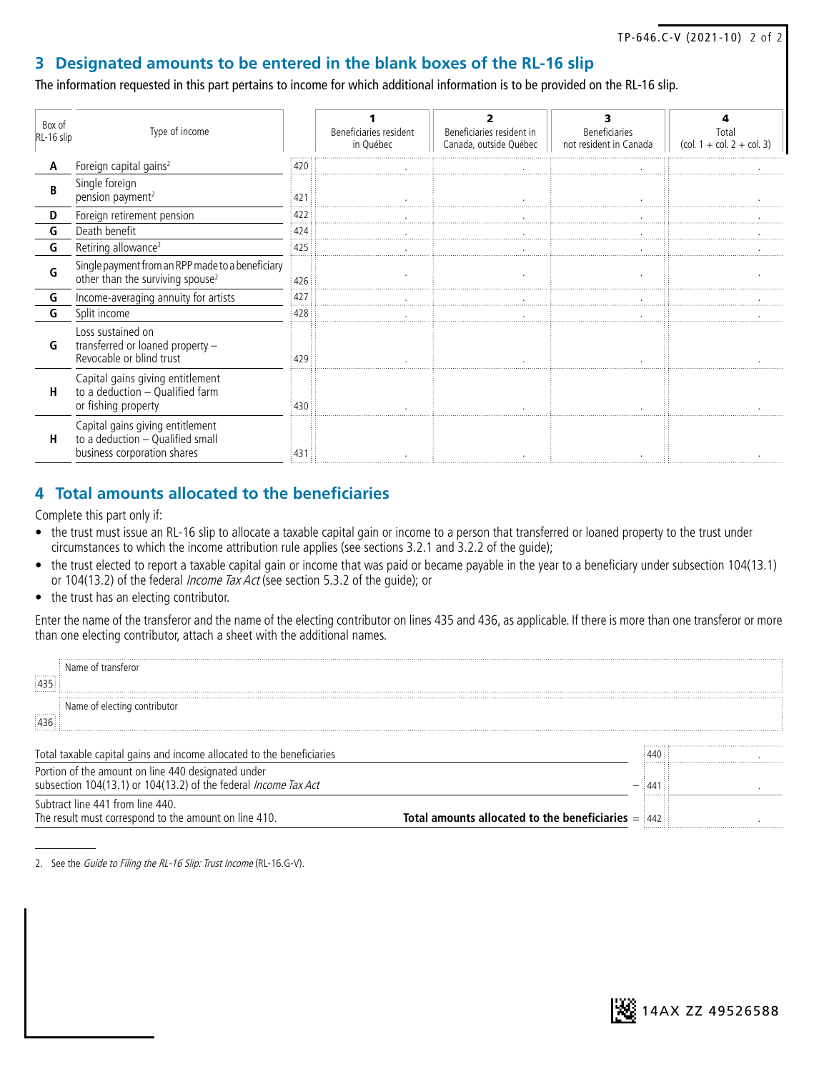#### **3 Designated amounts to be entered in the blank boxes of the RL-16 slip**

The information requested in this part pertains to income for which additional information is to be provided on the RL-16 slip.

| Box of<br>RL-16 slip | Type of income                                                                                      |     | Beneficiaries resident<br>in Québec | Beneficiaries resident in<br>Canada, outside Québec | <b>Beneficiaries</b><br>not resident in Canada | Total<br>$\left(\text{col. } 1 + \text{col. } 2 + \text{col. } 3\right)$ |
|----------------------|-----------------------------------------------------------------------------------------------------|-----|-------------------------------------|-----------------------------------------------------|------------------------------------------------|--------------------------------------------------------------------------|
| Α                    | Foreign capital gains <sup>2</sup>                                                                  | 420 |                                     |                                                     |                                                |                                                                          |
| B                    | Single foreign<br>pension payment <sup>2</sup>                                                      | 421 |                                     |                                                     |                                                |                                                                          |
| D                    | Foreign retirement pension                                                                          | 422 |                                     |                                                     |                                                |                                                                          |
| G                    | Death benefit                                                                                       | 424 |                                     |                                                     |                                                |                                                                          |
| G                    | Retiring allowance <sup>2</sup>                                                                     | 425 |                                     |                                                     |                                                |                                                                          |
| G                    | Single payment from an RPP made to a beneficiary<br>other than the surviving spouse <sup>2</sup>    | 426 |                                     |                                                     |                                                |                                                                          |
| G                    | Income-averaging annuity for artists                                                                | 427 |                                     |                                                     |                                                |                                                                          |
| G                    | Split income                                                                                        | 428 |                                     |                                                     |                                                |                                                                          |
| G                    | Loss sustained on<br>transferred or loaned property -<br>Revocable or blind trust                   | 429 |                                     |                                                     |                                                |                                                                          |
| н                    | Capital gains giving entitlement<br>to a deduction - Qualified farm<br>or fishing property          | 430 |                                     |                                                     |                                                |                                                                          |
| H                    | Capital gains giving entitlement<br>to a deduction - Qualified small<br>business corporation shares | 431 |                                     |                                                     |                                                |                                                                          |

## **4 Total amounts allocated to the beneficiaries**

Complete this part only if:

- the trust must issue an RL-16 slip to allocate a taxable capital gain or income to a person that transferred or loaned property to the trust under circumstances to which the income attribution rule applies (see sections 3.2.1 and 3.2.2 of the guide);
- the trust elected to report a taxable capital gain or income that was paid or became payable in the year to a beneficiary under subsection 104(13.1) or 104(13.2) of the federal Income Tax Act (see section 5.3.2 of the guide); or
- the trust has an electing contributor.

Enter the name of the transferor and the name of the electing contributor on lines 435 and 436, as applicable. If there is more than one transferor or more than one electing contributor, attach a sheet with the additional names.

| Name of fransferor                                                                                                           |                                                  |
|------------------------------------------------------------------------------------------------------------------------------|--------------------------------------------------|
| Name of electing contributor                                                                                                 |                                                  |
| Total taxable capital gains and income allocated to the beneficiaries                                                        |                                                  |
| Portion of the amount on line 440 designated under<br>subsection 104(13.1) or 104(13.2) of the federal <i>Income Tax Act</i> |                                                  |
| Subtract line 441 from line 440.<br>The result must correspond to the amount on line 410.                                    | Total amounts allocated to the beneficiaries $=$ |

<sup>2.</sup> See the Guide to Filing the RL-16 Slip: Trust Income (RL-16.G-V).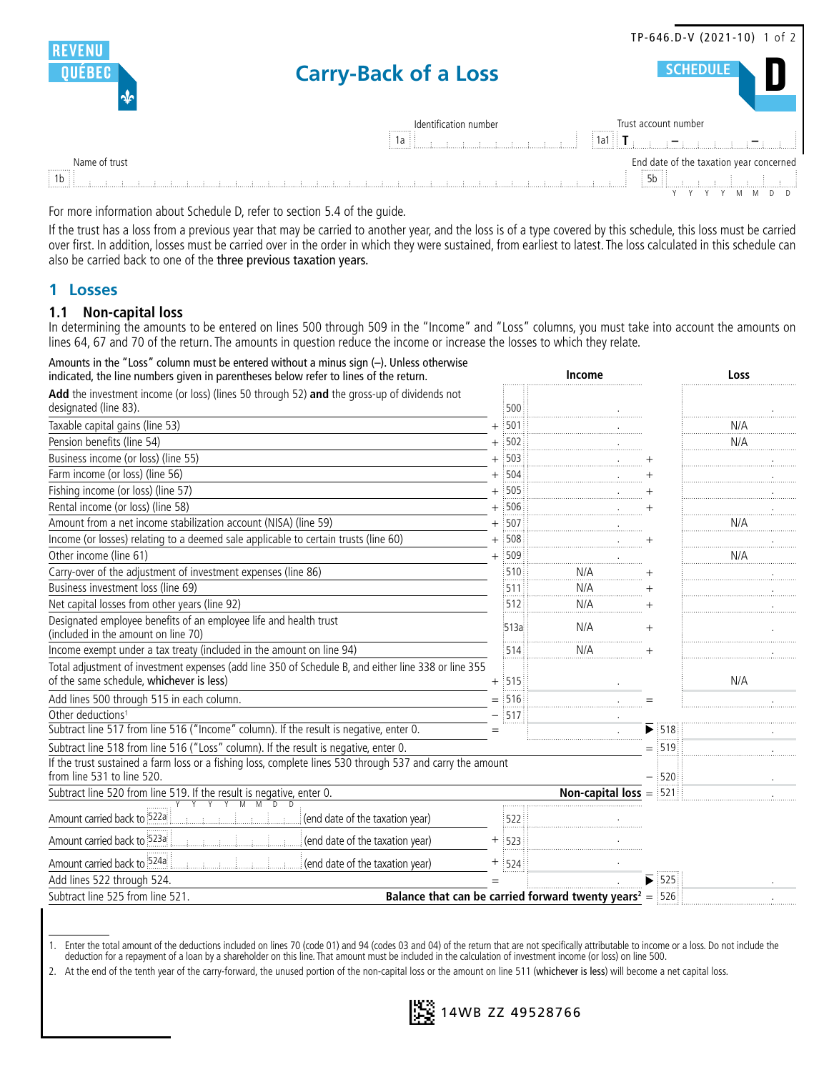|                               |                                                                                                                                                                                                                                                                                                         | TP-646.D-V (2021-10) 1 of 2                                      |
|-------------------------------|---------------------------------------------------------------------------------------------------------------------------------------------------------------------------------------------------------------------------------------------------------------------------------------------------------|------------------------------------------------------------------|
|                               | <b>Carry-Back of a Loss</b>                                                                                                                                                                                                                                                                             | <b>SCHEDULE</b>                                                  |
|                               | Identification number<br>-1a ÷ ÷                                                                                                                                                                                                                                                                        | Trust account number<br>$\frac{1}{2}$ 1a1 $\frac{1}{2}$ <b>T</b> |
| Name of trust<br>$\boxed{1b}$ | and the first of continuation and the                                                                                                                                                                                                                                                                   | End date of the taxation year concerned<br>$\overline{5b}$       |
|                               | $\mathcal{L}$ , and $\mathcal{L}$ , and $\mathcal{L}$ , and $\mathcal{L}$ , and $\mathcal{L}$ , and $\mathcal{L}$ , and $\mathcal{L}$ , and $\mathcal{L}$ , and $\mathcal{L}$ , and $\mathcal{L}$ , and $\mathcal{L}$ , and $\mathcal{L}$ , and $\mathcal{L}$ , and $\mathcal{L}$ , and $\mathcal{L}$ , |                                                                  |

For more information about Schedule D, refer to section 5.4 of the guide.

If the trust has a loss from a previous year that may be carried to another year, and the loss is of a type covered by this schedule, this loss must be carried over first. In addition, losses must be carried over in the order in which they were sustained, from earliest to latest. The loss calculated in this schedule can also be carried back to one of the three previous taxation years.

#### **1 Losses**

#### **1.1 Non-capital loss**

In determining the amounts to be entered on lines 500 through 509 in the "Income" and "Loss" columns, you must take into account the amounts on lines 64, 67 and 70 of the return. The amounts in question reduce the income or increase the losses to which they relate.

| Amounts in the "Loss" column must be entered without a minus sign (-). Unless otherwise<br>indicated, the line numbers given in parentheses below refer to lines of the return. |          | Income                                                                |                             | Loss |
|---------------------------------------------------------------------------------------------------------------------------------------------------------------------------------|----------|-----------------------------------------------------------------------|-----------------------------|------|
| Add the investment income (or loss) (lines 50 through 52) and the gross-up of dividends not<br>designated (line 83).                                                            | 500      |                                                                       |                             |      |
| Taxable capital gains (line 53)                                                                                                                                                 | $+$ 501  |                                                                       |                             | N/A  |
| Pension benefits (line 54)                                                                                                                                                      | $+$ 502  |                                                                       |                             | N/A  |
| Business income (or loss) (line 55)                                                                                                                                             | $+$ 503  |                                                                       |                             |      |
| Farm income (or loss) (line 56)                                                                                                                                                 | $+$ 504  |                                                                       |                             |      |
| Fishing income (or loss) (line 57)                                                                                                                                              | $+$ 505  |                                                                       |                             |      |
| Rental income (or loss) (line 58)                                                                                                                                               | $+$ 506  |                                                                       |                             |      |
| Amount from a net income stabilization account (NISA) (line 59)                                                                                                                 | $+$ 507  |                                                                       |                             | N/A  |
| Income (or losses) relating to a deemed sale applicable to certain trusts (line 60)                                                                                             | $+$ 508  |                                                                       |                             |      |
| Other income (line 61)                                                                                                                                                          | $+$ 509  |                                                                       |                             | N/A  |
| Carry-over of the adjustment of investment expenses (line 86)                                                                                                                   | 510      | N/A                                                                   |                             |      |
| Business investment loss (line 69)                                                                                                                                              | 511      | N/A                                                                   |                             |      |
| Net capital losses from other years (line 92)                                                                                                                                   | 512      | N/A                                                                   |                             |      |
| Designated employee benefits of an employee life and health trust<br>(included in the amount on line 70)                                                                        | 513a     | N/A                                                                   |                             |      |
| Income exempt under a tax treaty (included in the amount on line 94)                                                                                                            | :514     | N/A                                                                   |                             |      |
| Total adjustment of investment expenses (add line 350 of Schedule B, and either line 338 or line 355<br>of the same schedule, whichever is less)                                | $+$ :515 |                                                                       |                             | N/A  |
| Add lines 500 through 515 in each column.                                                                                                                                       | $=$ 516  |                                                                       |                             |      |
| Other deductions <sup>1</sup>                                                                                                                                                   | $-$ 517  |                                                                       |                             |      |
| Subtract line 517 from line 516 ("Income" column). If the result is negative, enter 0.                                                                                          | $=$      |                                                                       | $\blacktriangleright$ :518: |      |
| Subtract line 518 from line 516 ("Loss" column). If the result is negative, enter 0.                                                                                            |          |                                                                       | $=$ 519                     |      |
| If the trust sustained a farm loss or a fishing loss, complete lines 530 through 537 and carry the amount                                                                       |          |                                                                       |                             |      |
| from line 531 to line 520.                                                                                                                                                      |          |                                                                       | $\frac{1}{2}$ 520           |      |
| Subtract line 520 from line 519. If the result is negative, enter 0.                                                                                                            |          | <b>Non-capital loss</b> $=$ 521                                       |                             |      |
| $\overline{M}$<br>$\overline{D}$<br>Amount carried back to 522a<br>(end date of the taxation year)                                                                              | 522:     |                                                                       |                             |      |
| Amount carried back to 523a<br>(end date of the taxation year)                                                                                                                  | $+$ 523  |                                                                       |                             |      |
| Amount carried back to 524a<br>(end date of the taxation year)                                                                                                                  | $+$ :524 |                                                                       |                             |      |
| Add lines 522 through 524.                                                                                                                                                      |          |                                                                       | :525:                       |      |
| Subtract line 525 from line 521.                                                                                                                                                |          | Balance that can be carried forward twenty years <sup>2</sup> = $526$ |                             |      |

<sup>1.</sup> Enter the total amount of the deductions included on lines 70 (code 01) and 94 (codes 03 and 04) of the return that are not specifically attributable to income or a loss. Do not include the deduction for a repayment of a loan by a shareholder on this line. That amount must be included in the calculation of investment income (or loss) on line 500.

<sup>2.</sup> At the end of the tenth year of the carry-forward, the unused portion of the non-capital loss or the amount on line 511 (whichever is less) will become a net capital loss.

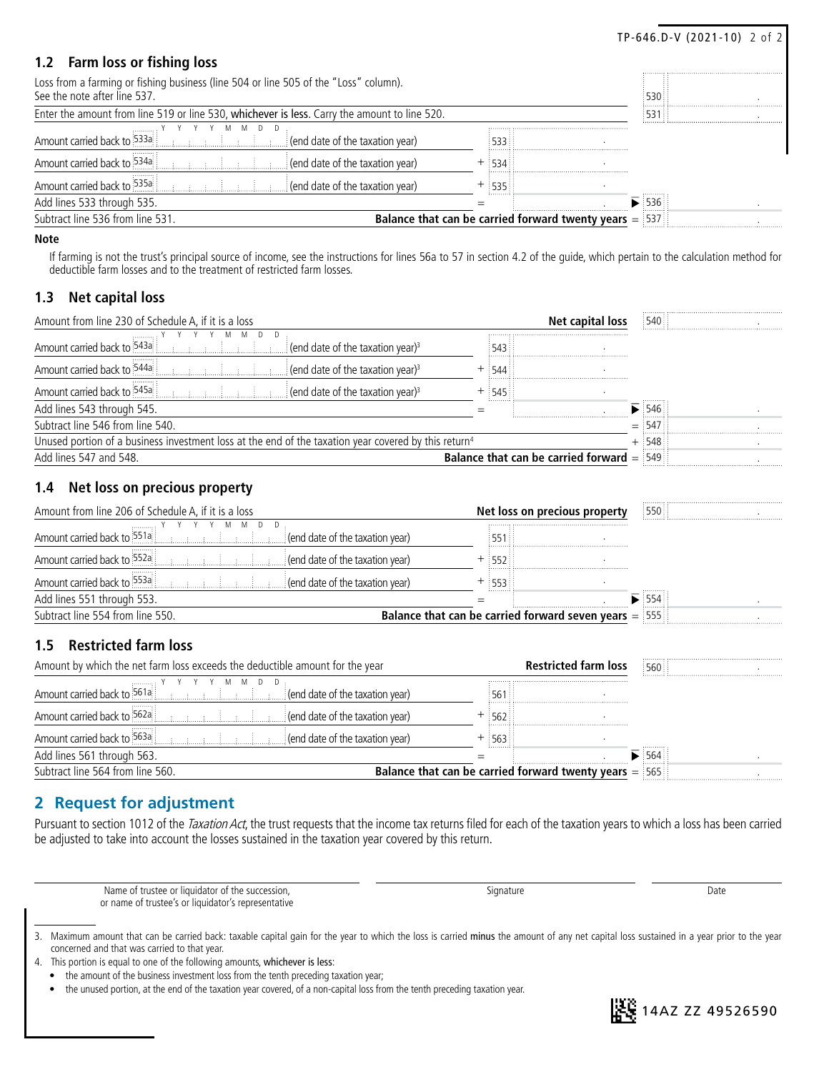|                                                                                                                      |                                                          |                             | TP-646.D-V (2021-10) 2 of 2 |
|----------------------------------------------------------------------------------------------------------------------|----------------------------------------------------------|-----------------------------|-----------------------------|
| 1.2 Farm loss or fishing loss                                                                                        |                                                          |                             |                             |
| Loss from a farming or fishing business (line 504 or line 505 of the "Loss" column).<br>See the note after line 537. |                                                          | 530                         |                             |
| Enter the amount from line 519 or line 530, whichever is less. Carry the amount to line 520.                         |                                                          | :531                        |                             |
| Amount carried back to 533a<br>$\frac{1}{2}$ (end date of the taxation year)                                         |                                                          |                             |                             |
| Amount carried back to 534a<br>$\frac{1}{2}$ (end date of the taxation year)                                         | $+ : 534:$                                               |                             |                             |
| Amount carried back to 535a<br>$\frac{1}{2}$ (end date of the taxation year)                                         | $-535$                                                   |                             |                             |
| Add lines 533 through 535.                                                                                           |                                                          | $\blacktriangleright$ :536: |                             |
| Subtract line 536 from line 531.                                                                                     | Balance that can be carried forward twenty years $=$ 537 |                             |                             |

#### **Note**

If farming is not the trust's principal source of income, see the instructions for lines 56a to 57 in section 4.2 of the guide, which pertain to the calculation method for deductible farm losses and to the treatment of restricted farm losses.

#### **1.3 Net capital loss**

|       | Net capital loss                                                                                                 | :540: |                                                                 |
|-------|------------------------------------------------------------------------------------------------------------------|-------|-----------------------------------------------------------------|
|       |                                                                                                                  |       |                                                                 |
|       |                                                                                                                  |       |                                                                 |
| :545: |                                                                                                                  |       |                                                                 |
|       |                                                                                                                  | 546:  |                                                                 |
|       |                                                                                                                  | :547  |                                                                 |
|       |                                                                                                                  | .548: |                                                                 |
|       |                                                                                                                  |       |                                                                 |
|       | Unused portion of a business investment loss at the end of the taxation year covered by this return <sup>4</sup> |       | <b>Balance that can be carried forward <math>=</math></b> $549$ |

#### **1.4 Net loss on precious property**

|  | 1550                          |                                                                           |
|--|-------------------------------|---------------------------------------------------------------------------|
|  |                               |                                                                           |
|  |                               |                                                                           |
|  |                               |                                                                           |
|  |                               |                                                                           |
|  | 554:                          |                                                                           |
|  |                               |                                                                           |
|  | Net loss on precious property | <b>Balance that can be carried forward seven years <math>=</math></b> 555 |

#### **1.5 Restricted farm loss**

| Amount by which the net farm loss exceeds the deductible amount for the year |                                                          | <b>Restricted farm loss</b> | 1560  |  |
|------------------------------------------------------------------------------|----------------------------------------------------------|-----------------------------|-------|--|
| Amount carried back to 561a<br>$\mathcal{L}$ (end date of the taxation year) |                                                          |                             |       |  |
| Amount carried back to 562a<br>$\mathcal{L}$ (end date of the taxation year) | .<br>56288                                               |                             |       |  |
| Amount carried back to 563a<br>$\mathcal{L}$ (end date of the taxation year) | ፡ 563 ፡፡                                                 |                             |       |  |
| Add lines 561 through 563.                                                   |                                                          |                             | : 564 |  |
| Subtract line 564 from line 560.                                             | Balance that can be carried forward twenty years $=$ 565 |                             |       |  |

## **2 Request for adjustment**

Pursuant to section 1012 of the Taxation Act, the trust requests that the income tax returns filed for each of the taxation years to which a loss has been carried be adjusted to take into account the losses sustained in the taxation year covered by this return.

| Name of trustee or liquidator of the succession.    | ıanatur $\epsilon$ | Date |
|-----------------------------------------------------|--------------------|------|
| or name of trustee's or liquidator's representative |                    |      |

- 4. This portion is equal to one of the following amounts, whichever is less:
	- the amount of the business investment loss from the tenth preceding taxation year;



<sup>3.</sup> Maximum amount that can be carried back: taxable capital gain for the year to which the loss is carried minus the amount of any net capital loss sustained in a year prior to the year concerned and that was carried to that year.

<sup>•</sup> the unused portion, at the end of the taxation year covered, of a non-capital loss from the tenth preceding taxation year.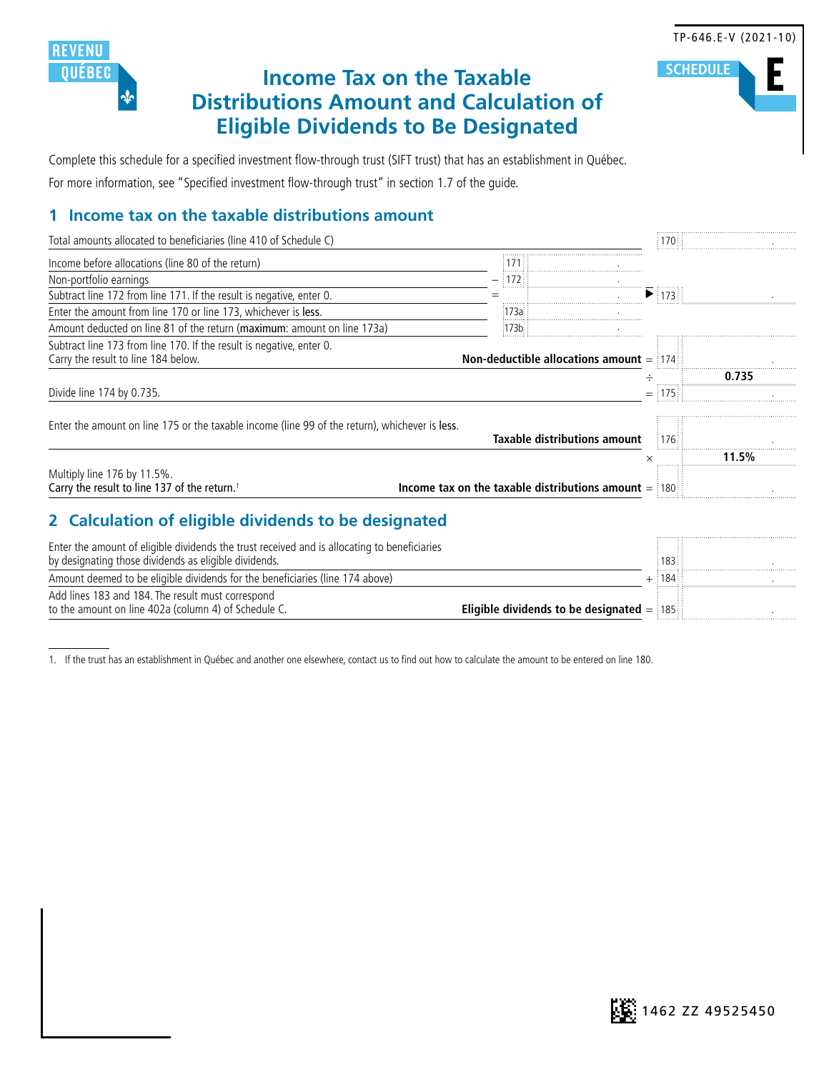

# **Income Tax on the Taxable Distributions Amount and Calculation of Eligible Dividends to Be Designated**

Complete this schedule for a specified investment flow-through trust (SIFT trust) that has an establishment in Québec. For more information, see "Specified investment flow-through trust" in section 1.7 of the guide.

## **1 Income tax on the taxable distributions amount**

| Total amounts allocated to beneficiaries (line 410 of Schedule C)                                                                                                                                                                                                                                                                                   |                                                        | ፡ 170 ፡           |       |
|-----------------------------------------------------------------------------------------------------------------------------------------------------------------------------------------------------------------------------------------------------------------------------------------------------------------------------------------------------|--------------------------------------------------------|-------------------|-------|
| Income before allocations (line 80 of the return)                                                                                                                                                                                                                                                                                                   | 1711                                                   |                   |       |
| Non-portfolio earnings                                                                                                                                                                                                                                                                                                                              | $\frac{1172}{2}$                                       |                   |       |
| Subtract line 172 from line 171. If the result is negative, enter 0.                                                                                                                                                                                                                                                                                | <b>.</b><br>$=$                                        |                   |       |
| Enter the amount from line 170 or line 173, whichever is less.                                                                                                                                                                                                                                                                                      | :173a:                                                 |                   |       |
| Amount deducted on line 81 of the return (maximum: amount on line 173a)                                                                                                                                                                                                                                                                             | :173b: :                                               |                   |       |
| Subtract line 173 from line 170. If the result is negative, enter 0.<br>Carry the result to line 184 below.                                                                                                                                                                                                                                         | Non-deductible allocations amount $=$ 174              |                   |       |
|                                                                                                                                                                                                                                                                                                                                                     |                                                        |                   | 0.735 |
|                                                                                                                                                                                                                                                                                                                                                     |                                                        | 175               |       |
| Enter the amount on line 175 or the taxable income (line 99 of the return), whichever is less.                                                                                                                                                                                                                                                      | Taxable distributions amount                           | $\frac{1}{2}$ 176 |       |
| Divide line 174 by 0.735.                                                                                                                                                                                                                                                                                                                           |                                                        |                   |       |
| Multiply line 176 by 11.5%.<br>Carry the result to line 137 of the return. <sup>1</sup>                                                                                                                                                                                                                                                             | Income tax on the taxable distributions amount $=$ 180 | ×                 | 11.5% |
| 2 Calculation of eligible dividends to be designated<br>Enter the amount of eligible dividends the trust received and is allocating to beneficiaries<br>by designating those dividends as eligible dividends.<br>Amount deemed to be eligible dividends for the beneficiaries (line 174 above)<br>Add lines 183 and 184. The result must correspond |                                                        | 183<br>$+$ 184    |       |

1. If the trust has an establishment in Québec and another one elsewhere, contact us to find out how to calculate the amount to be entered on line 180.



#### TP-646.E-V (2021-10)

**E SCHEDULE**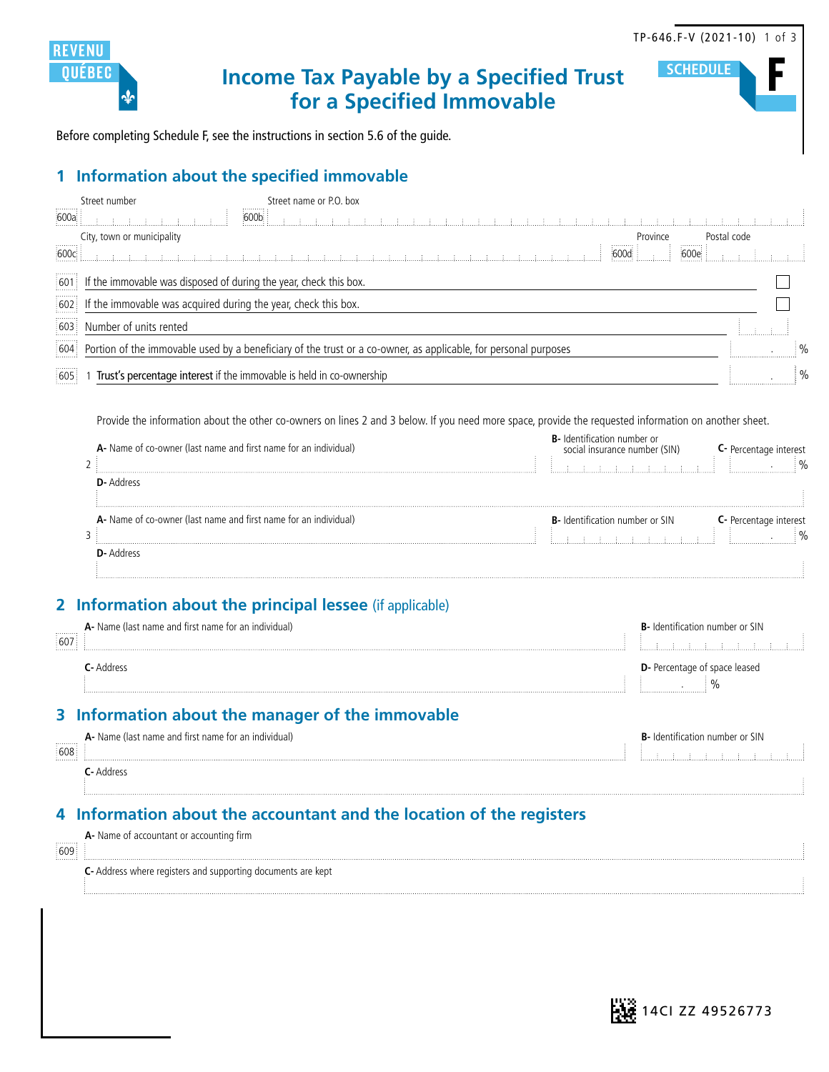

**SCHEDUL** 

**Income Tax Payable by a Specified Trust for a Specified Immovable**

Before completing Schedule F, see the instructions in section 5.6 of the guide.

## **1 Information about the specified immovable**

|      | Street number                                                           | Street name or P.O. box |                                                                                                                       |          |             |  |
|------|-------------------------------------------------------------------------|-------------------------|-----------------------------------------------------------------------------------------------------------------------|----------|-------------|--|
| 600a |                                                                         | 600 <sub>b</sub>        |                                                                                                                       |          |             |  |
|      | City, town or municipality                                              |                         |                                                                                                                       | Province | Postal code |  |
| 600c |                                                                         |                         |                                                                                                                       | 600d i   | 600e        |  |
|      | [601] If the immovable was disposed of during the year, check this box. |                         |                                                                                                                       |          |             |  |
|      | 602 If the immovable was acquired during the year, check this box.      |                         |                                                                                                                       |          |             |  |
| 603. | Number of units rented                                                  |                         |                                                                                                                       |          |             |  |
|      |                                                                         |                         | [604] Portion of the immovable used by a beneficiary of the trust or a co-owner, as applicable, for personal purposes |          |             |  |
| 605  | Trust's percentage interest if the immovable is held in co-ownership    |                         |                                                                                                                       |          |             |  |

Provide the information about the other co-owners on lines 2 and 3 below. If you need more space, provide the requested information on another sheet.

| A- Name of co-owner (last name and first name for an individual) | number or<br>social insurance number (SIN) |  |
|------------------------------------------------------------------|--------------------------------------------|--|
| <b>D</b> - Address                                               |                                            |  |
| A- Name of co-owner (last name and first name for an individual) | <b>B-</b> Identification number or SIN     |  |
| yyyuky                                                           |                                            |  |

## **2 Information about the principal lessee** (if applicable)

| .<br>607<br> | A- Name (last name and first name for an individual) | <b>B-</b> Identification number or SIN |
|--------------|------------------------------------------------------|----------------------------------------|
|              | Address                                              | <b>D</b> -Percentage of space leased   |

## **3 Information about the manager of the immovable**

| ,,,,,,,,,,<br>608:<br>. | A- Name (last name and first name for an individual) | <b>B</b> - Identification number or SIN |
|-------------------------|------------------------------------------------------|-----------------------------------------|
|                         | C- Address                                           |                                         |

## **4 Information about the accountant and the location of the registers**

| .<br>609 | A- Name of accountant or accounting firm                             |  |
|----------|----------------------------------------------------------------------|--|
|          | <b>C</b> - Address where registers and supporting documents are kept |  |

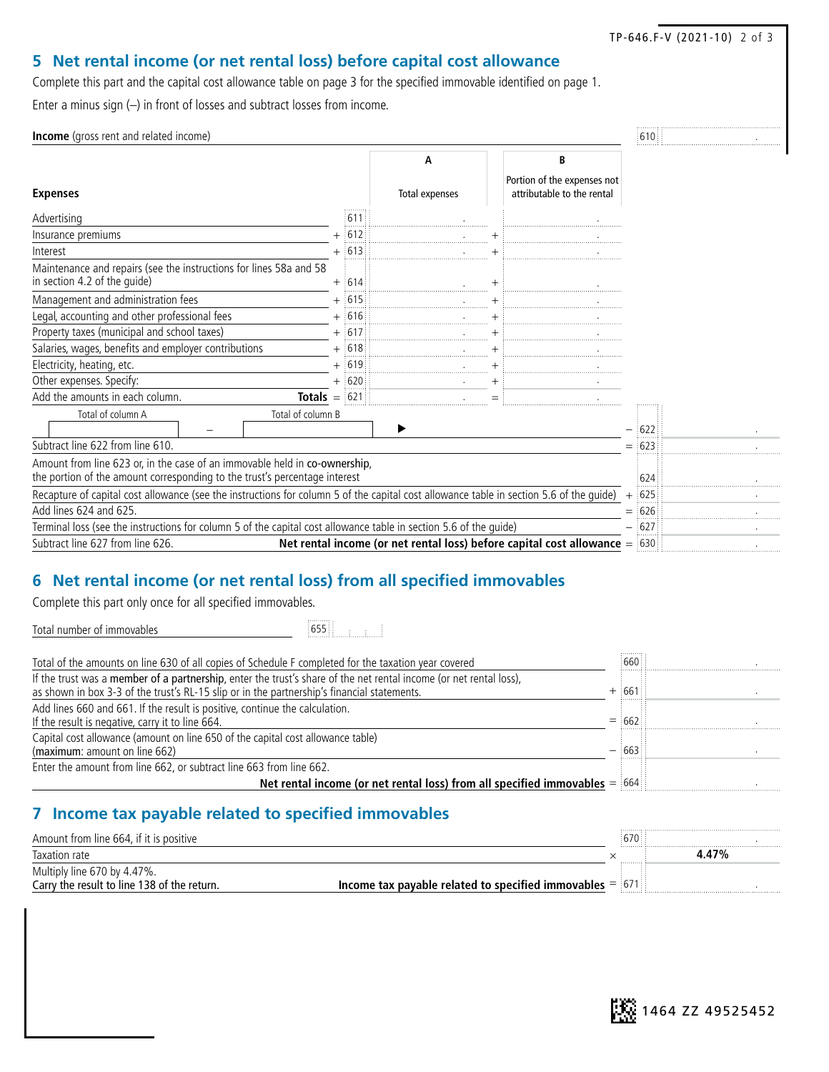TP-646.F-V (2021-10) 2 of 3

## **5 Net rental income (or net rental loss) before capital cost allowance**

Complete this part and the capital cost allowance table on page 3 for the specified immovable identified on page 1. Enter a minus sign (–) in front of losses and subtract losses from income.

| <b>Income</b> (gross rent and related income)                                                                                                            |  |           |                |     |                                                                                |     | :610∷    |  |
|----------------------------------------------------------------------------------------------------------------------------------------------------------|--|-----------|----------------|-----|--------------------------------------------------------------------------------|-----|----------|--|
|                                                                                                                                                          |  |           | А              |     | B                                                                              |     |          |  |
| <b>Expenses</b>                                                                                                                                          |  |           | Total expenses |     | Portion of the expenses not<br>attributable to the rental                      |     |          |  |
| Advertising                                                                                                                                              |  | 611       |                |     |                                                                                |     |          |  |
| Insurance premiums                                                                                                                                       |  | $+ 1612$  |                |     |                                                                                |     |          |  |
| Interest                                                                                                                                                 |  | $+ 613$   |                |     |                                                                                |     |          |  |
| Maintenance and repairs (see the instructions for lines 58a and 58<br>in section 4.2 of the quide)                                                       |  | $+$ 614   |                |     |                                                                                |     |          |  |
| Management and administration fees                                                                                                                       |  | $+$ 615   |                |     |                                                                                |     |          |  |
| Legal, accounting and other professional fees                                                                                                            |  | $+$ :616: |                |     |                                                                                |     |          |  |
| Property taxes (municipal and school taxes)                                                                                                              |  | $+$ :617: |                |     |                                                                                |     |          |  |
| Salaries, wages, benefits and employer contributions                                                                                                     |  | $+$ :618: |                |     |                                                                                |     |          |  |
| Electricity, heating, etc.                                                                                                                               |  | $+$ :619: |                |     |                                                                                |     |          |  |
| Other expenses. Specify:                                                                                                                                 |  | $+$ 620   |                |     |                                                                                |     |          |  |
| Add the amounts in each column.<br><b>Totals</b> $=$ 621                                                                                                 |  |           |                | $=$ |                                                                                |     |          |  |
| Total of column B<br>Total of column A                                                                                                                   |  |           | ▶              |     |                                                                                |     | $-$ :622 |  |
| Subtract line 622 from line 610.                                                                                                                         |  |           |                |     |                                                                                |     | $=$ 623  |  |
| Amount from line 623 or, in the case of an immovable held in co-ownership,<br>the portion of the amount corresponding to the trust's percentage interest |  |           |                |     |                                                                                |     | 624      |  |
| Recapture of capital cost allowance (see the instructions for column 5 of the capital cost allowance table in section 5.6 of the guide)                  |  |           |                |     |                                                                                | $+$ | 625      |  |
| Add lines 624 and 625.                                                                                                                                   |  |           |                |     |                                                                                |     | 626      |  |
| Terminal loss (see the instructions for column 5 of the capital cost allowance table in section 5.6 of the guide)                                        |  |           |                |     |                                                                                |     | 627      |  |
| Subtract line 627 from line 626.                                                                                                                         |  |           |                |     | Net rental income (or net rental loss) before capital cost allowance $=$ [630] |     |          |  |

## **6 Net rental income (or net rental loss) from all specified immovables**

Complete this part only once for all specified immovables.

Total number of immovables **655** 

| Total of the amounts on line 630 of all copies of Schedule F completed for the taxation year covered               | ,,,,,,,,,<br>660 |  |
|--------------------------------------------------------------------------------------------------------------------|------------------|--|
| If the trust was a member of a partnership, enter the trust's share of the net rental income (or net rental loss), |                  |  |
| as shown in box 3-3 of the trust's RL-15 slip or in the partnership's financial statements.                        | $+$ :661 ::      |  |
| Add lines 660 and 661. If the result is positive, continue the calculation.                                        |                  |  |
| If the result is negative, carry it to line 664.                                                                   | $=$ :662:        |  |
| Capital cost allowance (amount on line 650 of the capital cost allowance table)                                    |                  |  |
| (maximum: amount on line 662)                                                                                      | $ 663$           |  |
| Enter the amount from line 662, or subtract line 663 from line 662.                                                |                  |  |
| Net rental income (or net rental loss) from all specified immovables $=$ [664]                                     |                  |  |

## **7 Income tax payable related to specified immovables**

| Amount from line 664, if it is positive     |                                                              |  |       |
|---------------------------------------------|--------------------------------------------------------------|--|-------|
| Taxation rate                               |                                                              |  | 4.47% |
| Multiply line 670 by 4.47%.                 |                                                              |  |       |
| Carry the result to line 138 of the return. | Income tax payable related to specified immovables $=$ [671] |  |       |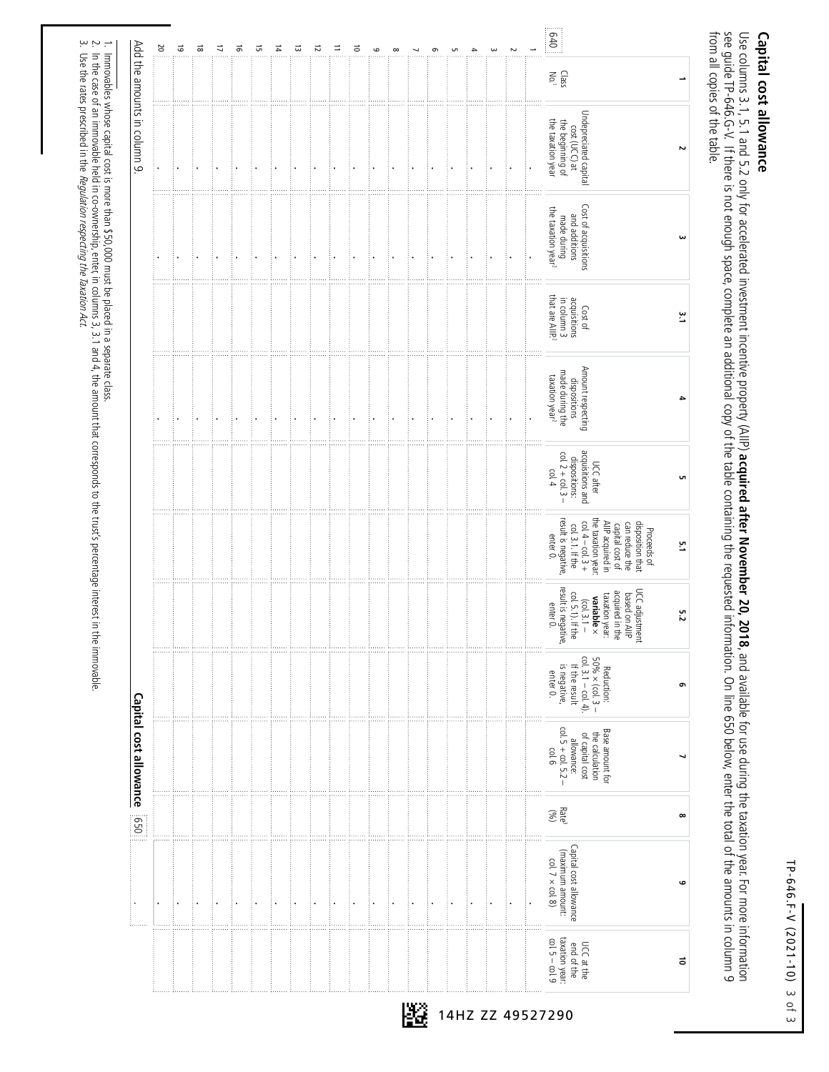TP-646.F-V (2021-10) TP-646.F-V (2021-10) 3 of 3

# Capital cost allowance **Capital cost allowance**

from all copies of the table. Use columns 3.1, 5.1 and 5.2 only for accelerated investment incentive property (AlIP) **acquired after November 20, 2018**, and available for use during the taxation year. For more information<br>see guide TP-646.G-V. If there from all copies of the table. see guide TP-646.G-V. If the is not endial of the table space of the space during the requested information of the table space incomplete and amounts in claim 9 space of the total on line  $\sigma$ Use columns 3.1, 5.1 and 5.2 only for accelerated investment incentive property (AIIP) **acquired after November 20, 2018**, and available for use during the taxation year. For more information

|                             | οz | $\vec{5}$ | $\vec{8}$ | 17 | $\vec{5}$ | 긊 | $\vec{r}$ | ದ | 12 | ⋍ | ៊ | $\circ$ | $\infty$ | $\sigma$ | <b>UT</b> | ω | Z | $rac{1}{2}$                                                                                                                                                                                  |   |
|-----------------------------|----|-----------|-----------|----|-----------|---|-----------|---|----|---|---|---------|----------|----------|-----------|---|---|----------------------------------------------------------------------------------------------------------------------------------------------------------------------------------------------|---|
|                             |    |           |           |    |           |   |           |   |    |   |   |         |          |          |           |   |   | $\frac{CaS}{N_0}$                                                                                                                                                                            |   |
| Add the amounts in column 9 |    |           |           |    |           |   |           |   |    |   |   |         |          |          |           |   |   | Undepreciated capital<br>cost (UCC) at<br>the taxation year<br>the beginning of                                                                                                              | Σ |
|                             |    |           |           |    |           |   |           |   |    |   |   |         |          |          |           |   |   | Cost of acquisitions<br>and additions<br>made during<br>the taxation year <sup>2</sup>                                                                                                       |   |
|                             |    |           |           |    |           |   |           |   |    |   |   |         |          |          |           |   |   | that are AllP. <sup>2</sup><br>acquisitions<br>in column 3<br>Cost of                                                                                                                        |   |
|                             |    |           |           |    |           |   |           |   |    |   |   |         |          |          |           |   |   | Amount respecting<br>made during the<br>taxation year <sup>2</sup><br>dispositions                                                                                                           |   |
|                             |    |           |           |    |           |   |           |   |    |   |   |         |          |          |           |   |   | acquisitions and<br>$col. 2 + col. 3$<br>dispositions:<br>UCC after<br>col.4<br>$\overline{1}$                                                                                               |   |
|                             |    |           |           |    |           |   |           |   |    |   |   |         |          |          |           |   |   | result is negative,<br>the taxation year:<br>$col. 4 - col. 3 +$<br>capital cost of<br>AllP acquired in<br>disposition that<br>can reduce the<br>col. 3.1. If the<br>Proceeds of<br>enter 0. |   |
|                             |    |           |           |    |           |   |           |   |    |   |   |         |          |          |           |   |   | result is negative,<br>UCC adjustment<br>based on AllP<br>acquired in the<br>taxation year.<br>$\frac{(col. 3.1 -}{5.1). 1$ f the<br>variable $\times$<br>enter 0.                           |   |
|                             |    |           |           |    |           |   |           |   |    |   |   |         |          |          |           |   |   | $50\% \times (col. 3 -$<br>col. 3.1 – col. 4).<br>is negative,<br>If the result<br>Reduction:<br>enter 0.                                                                                    |   |
| Capital cost allowance      |    |           |           |    |           |   |           |   |    |   |   |         |          |          |           |   |   | col. $5 + col. 5.2 -$<br>Base amount for<br>the calculation<br>of capital cost<br>allowance:<br>$9$   $6$                                                                                    |   |
| $rac{1}{20}$                |    |           |           |    |           |   |           |   |    |   |   |         |          |          |           |   |   | Rate <sup>3</sup>                                                                                                                                                                            |   |
|                             |    |           |           |    |           |   |           |   |    |   |   |         |          |          |           |   |   | Capital cost allowance<br>(maximum amount:<br>col. $7 \times$ col. 8)                                                                                                                        |   |
|                             |    |           |           |    |           |   |           |   |    |   |   |         |          |          |           |   |   | taxation year:<br>$col. 5 - col. 9$<br>UCC at the<br>end of the                                                                                                                              |   |

Immovables whose capital cost is more than \$50,000 must be placed in a separate class.

 $\sim$  2.  $\sim$ 

Use the rates prescribed in the Regulation respecting the Taxation Act.

In the case of an immovable held in co-ownership, enter, in columns 3, 3.1 and 4, the amount that corresponds to the trust's percentage interest in the immovable.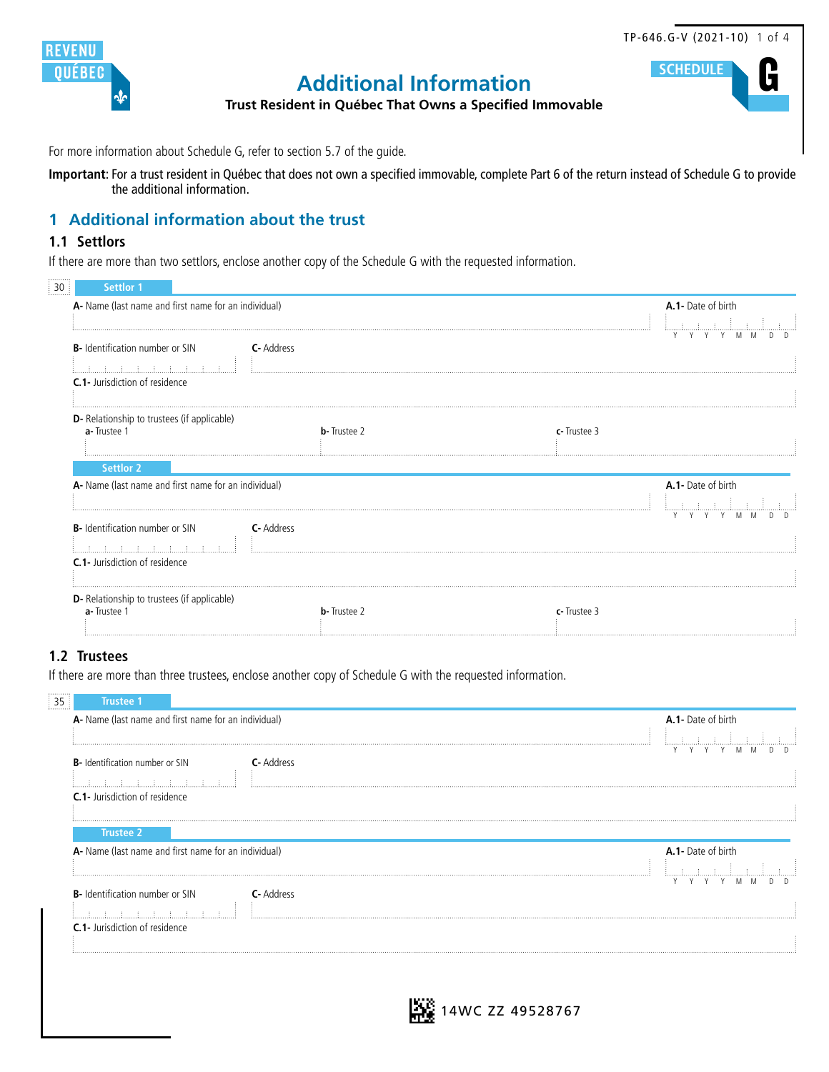



# **G SCHEDULE Additional Information**

**Trust Resident in Québec That Owns a Specified Immovable**

For more information about Schedule G, refer to section 5.7 of the guide.

**Important**: For a trust resident in Québec that does not own a specified immovable, complete Part 6 of the return instead of Schedule G to provide the additional information.

## **1 Additional information about the trust**

#### **1.1 Settlors**

If there are more than two settlors, enclose another copy of the Schedule G with the requested information.

| <b>Settlor 1</b>                      |                                                                                                                                                                                                                                                                                                                                                                                                                                                                                                |                     |             |                    |
|---------------------------------------|------------------------------------------------------------------------------------------------------------------------------------------------------------------------------------------------------------------------------------------------------------------------------------------------------------------------------------------------------------------------------------------------------------------------------------------------------------------------------------------------|---------------------|-------------|--------------------|
|                                       | A- Name (last name and first name for an individual)                                                                                                                                                                                                                                                                                                                                                                                                                                           |                     |             | A.1- Date of birth |
| B- Identification number or SIN       | <b>C</b> -Address                                                                                                                                                                                                                                                                                                                                                                                                                                                                              |                     |             | Y Y<br>Y<br>M M    |
|                                       |                                                                                                                                                                                                                                                                                                                                                                                                                                                                                                |                     |             |                    |
| <b>C.1-</b> Jurisdiction of residence |                                                                                                                                                                                                                                                                                                                                                                                                                                                                                                |                     |             |                    |
| a-Trustee 1                           | <b>D</b> - Relationship to trustees (if applicable)                                                                                                                                                                                                                                                                                                                                                                                                                                            | <b>b</b> -Trustee 2 | c-Trustee 3 |                    |
| <b>Settlor 2</b>                      |                                                                                                                                                                                                                                                                                                                                                                                                                                                                                                |                     |             |                    |
|                                       | A- Name (last name and first name for an individual)                                                                                                                                                                                                                                                                                                                                                                                                                                           |                     |             | A.1- Date of birth |
| B- Identification number or SIN       | <b>C</b> - Address                                                                                                                                                                                                                                                                                                                                                                                                                                                                             |                     |             |                    |
|                                       | $\begin{minipage}{.4\linewidth} \begin{tabular}{l} \hline \multicolumn{1}{l}{} & \multicolumn{1}{l}{} \\ \multicolumn{1}{l}{} & \multicolumn{1}{l}{} \\ \multicolumn{1}{l}{} & \multicolumn{1}{l}{} \\ \multicolumn{1}{l}{} & \multicolumn{1}{l}{} \\ \multicolumn{1}{l}{} & \multicolumn{1}{l}{} \\ \multicolumn{1}{l}{} & \multicolumn{1}{l}{} \\ \multicolumn{1}{l}{} & \multicolumn{1}{l}{} \\ \multicolumn{1}{l}{} & \multicolumn{1}{l}{} \\ \multicolumn{1}{l}{} & \multicolumn{1}{l}{}$ |                     |             |                    |
| C.1- Jurisdiction of residence        |                                                                                                                                                                                                                                                                                                                                                                                                                                                                                                |                     |             |                    |
|                                       |                                                                                                                                                                                                                                                                                                                                                                                                                                                                                                |                     |             |                    |
| a-Trustee 1                           | D- Relationship to trustees (if applicable)                                                                                                                                                                                                                                                                                                                                                                                                                                                    | <b>b</b> -Trustee 2 | c-Trustee 3 |                    |
|                                       |                                                                                                                                                                                                                                                                                                                                                                                                                                                                                                |                     |             |                    |
|                                       |                                                                                                                                                                                                                                                                                                                                                                                                                                                                                                |                     |             |                    |

#### **1.2 Trustees**

If there are more than three trustees, enclose another copy of Schedule G with the requested information.

| <br><b>Trustee 1</b>                                         |                    |
|--------------------------------------------------------------|--------------------|
| A- Name (last name and first name for an individual)         | A.1- Date of birth |
|                                                              |                    |
| <b>B-</b> Identification number or SIN<br><b>C</b> - Address |                    |
| ほうほうほうほうほうほうほうほうほ                                            |                    |
| <b>C.1-</b> Jurisdiction of residence                        |                    |
|                                                              |                    |
| <b>Trustee 2</b>                                             |                    |
| A- Name (last name and first name for an individual)         | A.1- Date of birth |
|                                                              |                    |
| <b>B-</b> Identification number or SIN<br><b>C</b> - Address |                    |
| まいまいまいまいまいまいま                                                |                    |
| <b>C.1-</b> Jurisdiction of residence                        |                    |
|                                                              |                    |
|                                                              |                    |
|                                                              |                    |
|                                                              |                    |
|                                                              | 4WC ZZ 49528767    |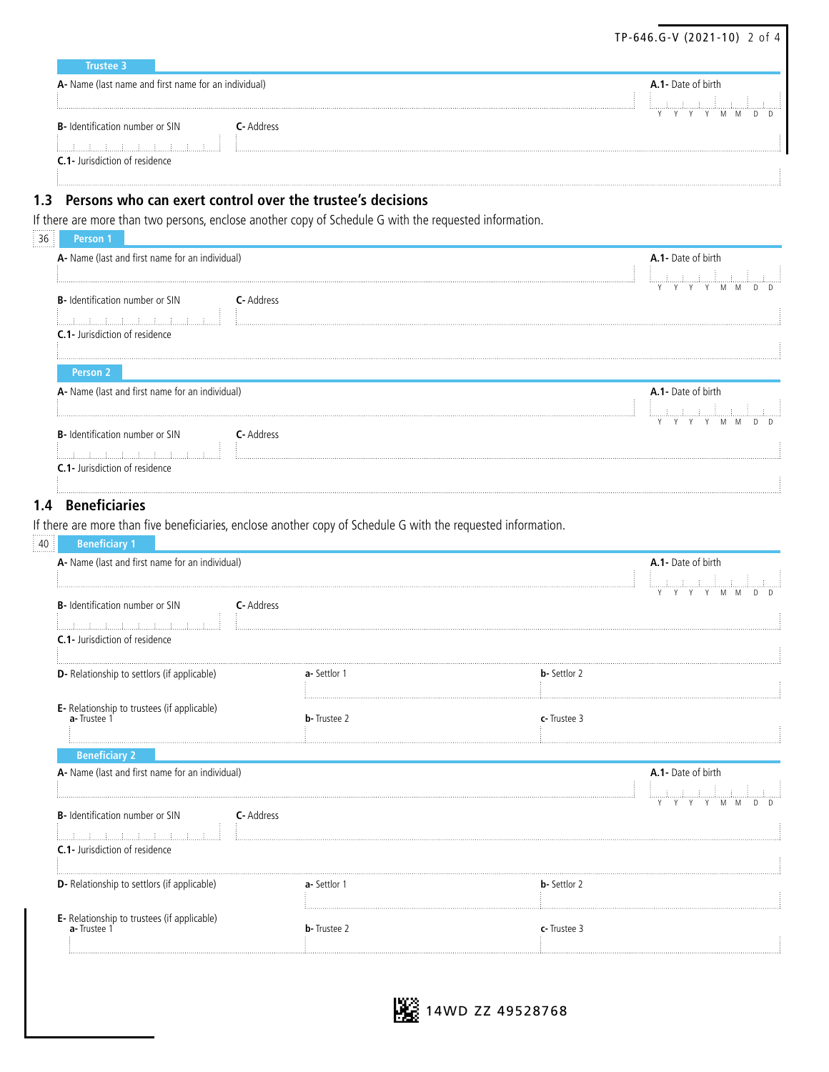| <b>Trustee 3</b>                                     |                        |                                  |
|------------------------------------------------------|------------------------|----------------------------------|
| A- Name (last name and first name for an individual) |                        | A.1- Date of birth               |
|                                                      |                        | <b>COLLECTION</b><br>Y Y Y Y M M |
| <b>B-</b> Identification number or SIN               | <b>C</b> - Address<br> |                                  |
| <b>C.1-</b> Jurisdiction of residence                |                        |                                  |

TP-646.G-V (2021-10) 2 of 4

#### **1.3 Persons who can exert control over the trustee's decisions**

If there are more than two persons, enclose another copy of Schedule G with the requested information.

| <b>Person</b>                                                 |                           |
|---------------------------------------------------------------|---------------------------|
| A- Name (last and first name for an individual)               | <b>A.1-</b> Date of birth |
|                                                               |                           |
| <b>B</b> - Identification number or SIN<br><b>C</b> - Address |                           |
|                                                               |                           |
| <b>C.1-</b> Jurisdiction of residence                         |                           |
|                                                               |                           |
| Person 2                                                      |                           |
| A- Name (last and first name for an individual)               | A.1- Date of birth        |
|                                                               |                           |
| <b>B-</b> Identification number or SIN<br><b>C</b> - Address  |                           |
|                                                               |                           |
| <b>C.1-</b> Jurisdiction of residence                         |                           |
|                                                               |                           |
|                                                               |                           |

#### **1.4 Beneficiaries**

If there are more than five beneficiaries, enclose another copy of Schedule G with the requested information.

| <br>$\sim$          |                               | . . |  |                 |
|---------------------|-------------------------------|-----|--|-----------------|
| .40:7               |                               |     |  |                 |
|                     |                               |     |  |                 |
| <b>A-</b> Name (las | e for an individual).<br>name |     |  | birth<br>14 L H |
|                     |                               |     |  |                 |

|                                                                                                                                                                                                                                                                                                                                                                                                                                                                                                                                |                     | Y<br>$\vee$<br>V<br>M   |
|--------------------------------------------------------------------------------------------------------------------------------------------------------------------------------------------------------------------------------------------------------------------------------------------------------------------------------------------------------------------------------------------------------------------------------------------------------------------------------------------------------------------------------|---------------------|-------------------------|
| <b>B-</b> Identification number or SIN                                                                                                                                                                                                                                                                                                                                                                                                                                                                                         | <b>C</b> -Address   |                         |
| C.1- Jurisdiction of residence                                                                                                                                                                                                                                                                                                                                                                                                                                                                                                 |                     |                         |
| D- Relationship to settlors (if applicable)                                                                                                                                                                                                                                                                                                                                                                                                                                                                                    | <b>a</b> -Settlor 1 | <b>b</b> - Settlor 2    |
| E- Relationship to trustees (if applicable)<br>a-Trustee 1                                                                                                                                                                                                                                                                                                                                                                                                                                                                     | <b>b</b> -Trustee 2 | c-Trustee 3             |
| <b>Beneficiary 2</b>                                                                                                                                                                                                                                                                                                                                                                                                                                                                                                           |                     |                         |
| A- Name (last and first name for an individual)                                                                                                                                                                                                                                                                                                                                                                                                                                                                                |                     | A.1- Date of birth      |
|                                                                                                                                                                                                                                                                                                                                                                                                                                                                                                                                |                     |                         |
|                                                                                                                                                                                                                                                                                                                                                                                                                                                                                                                                |                     |                         |
| B- Identification number or SIN                                                                                                                                                                                                                                                                                                                                                                                                                                                                                                | C-Address           | Y Y Y Y M M<br>n.<br>n. |
| $\begin{minipage}{.4\linewidth} \begin{tabular}{l} \hline \multicolumn{3}{c}{\textbf{1.0.1}} \end{tabular} \end{minipage} \begin{minipage}{.4\linewidth} \begin{tabular}{l} \hline \multicolumn{3}{c}{\textbf{2.0.1}} \end{tabular} \end{minipage} \begin{minipage}{.4\linewidth} \end{minipage} \begin{minipage}{.4\linewidth} \end{minipage} \begin{minipage}{.4\linewidth} \end{minipage} \begin{minipage}{.4\linewidth} \end{minipage} \begin{minipage}{.4\linewidth} \end{minipage} \begin{minipage}{.4\linewidth} \end{$ |                     |                         |
| <b>C.1-</b> Jurisdiction of residence                                                                                                                                                                                                                                                                                                                                                                                                                                                                                          |                     |                         |
| D- Relationship to settlors (if applicable)                                                                                                                                                                                                                                                                                                                                                                                                                                                                                    | <b>a</b> -Settlor 1 | <b>b</b> -Settlor 2     |
|                                                                                                                                                                                                                                                                                                                                                                                                                                                                                                                                |                     |                         |

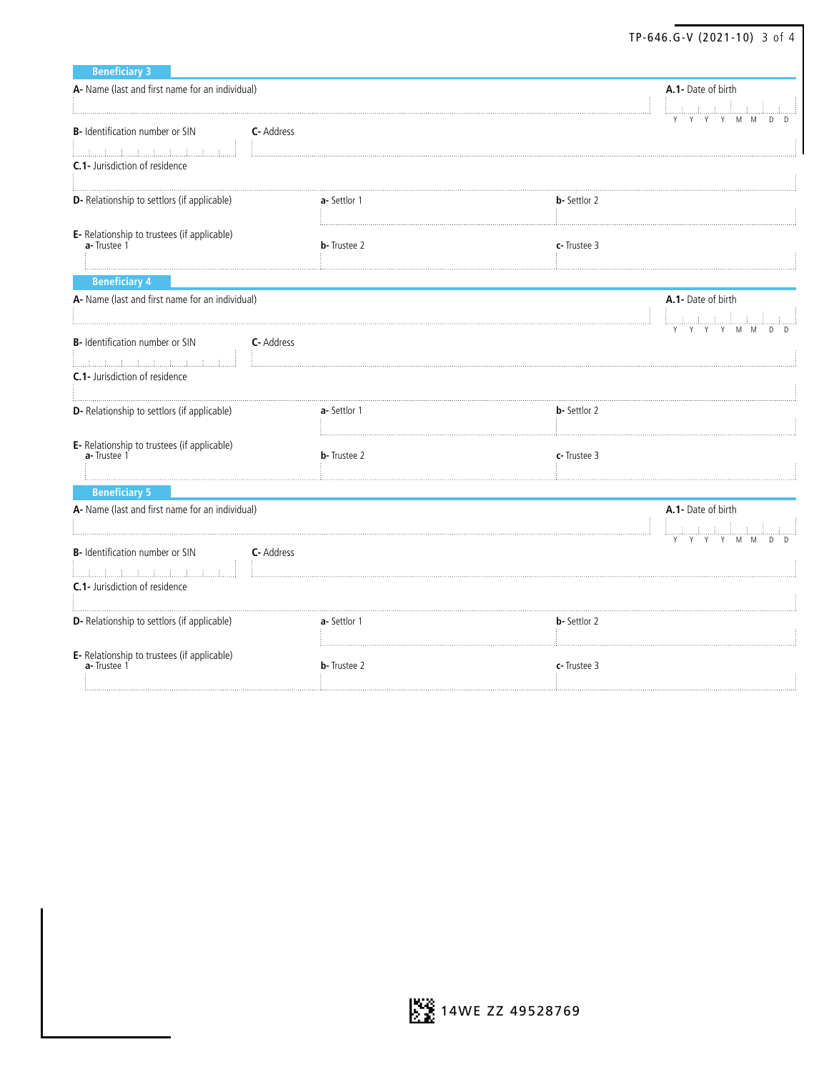|                                                                          |                     |                      | TP-646.G-V (2021-10) 3 of 4     |
|--------------------------------------------------------------------------|---------------------|----------------------|---------------------------------|
| <b>Beneficiary 3</b>                                                     |                     |                      |                                 |
| A- Name (last and first name for an individual)                          |                     |                      | A.1- Date of birth<br>أستشاشتها |
| B- Identification number or SIN<br>C-Address                             |                     |                      | <b>THE TERM</b>                 |
| <b>C.1-</b> Jurisdiction of residence                                    |                     |                      |                                 |
| D- Relationship to settlors (if applicable)                              | a-Settlor 1         | <b>b</b> -Settlor 2  |                                 |
| E- Relationship to trustees (if applicable)<br>a- Trustee 1              | <b>b</b> -Trustee 2 | c-Trustee 3          |                                 |
| <b>Beneficiary 4</b>                                                     |                     |                      |                                 |
| A- Name (last and first name for an individual)                          |                     | A.1- Date of birth   |                                 |
| <b>B-</b> Identification number or SIN<br><b>C</b> - Address<br>1111111. |                     |                      |                                 |
| <b>C.1-</b> Jurisdiction of residence                                    |                     |                      |                                 |
| D- Relationship to settlors (if applicable)                              | a-Settlor 1         | <b>b</b> -Settlor 2  |                                 |
| E- Relationship to trustees (if applicable)<br>a- Trustee 1              | <b>b</b> -Trustee 2 | c-Trustee 3          |                                 |
| <b>Beneficiary 5</b>                                                     |                     |                      |                                 |
| A- Name (last and first name for an individual)                          |                     |                      | A.1- Date of birth              |
| B- Identification number or SIN<br>C- Address                            |                     |                      | $\sqrt{2}$                      |
| <b>C.1-</b> Jurisdiction of residence                                    |                     |                      |                                 |
| D- Relationship to settlors (if applicable)                              | a-Settlor 1         | <b>b</b> - Settlor 2 |                                 |
| E- Relationship to trustees (if applicable)<br>a-Trustee 1               | <b>b</b> -Trustee 2 | c-Trustee 3          |                                 |